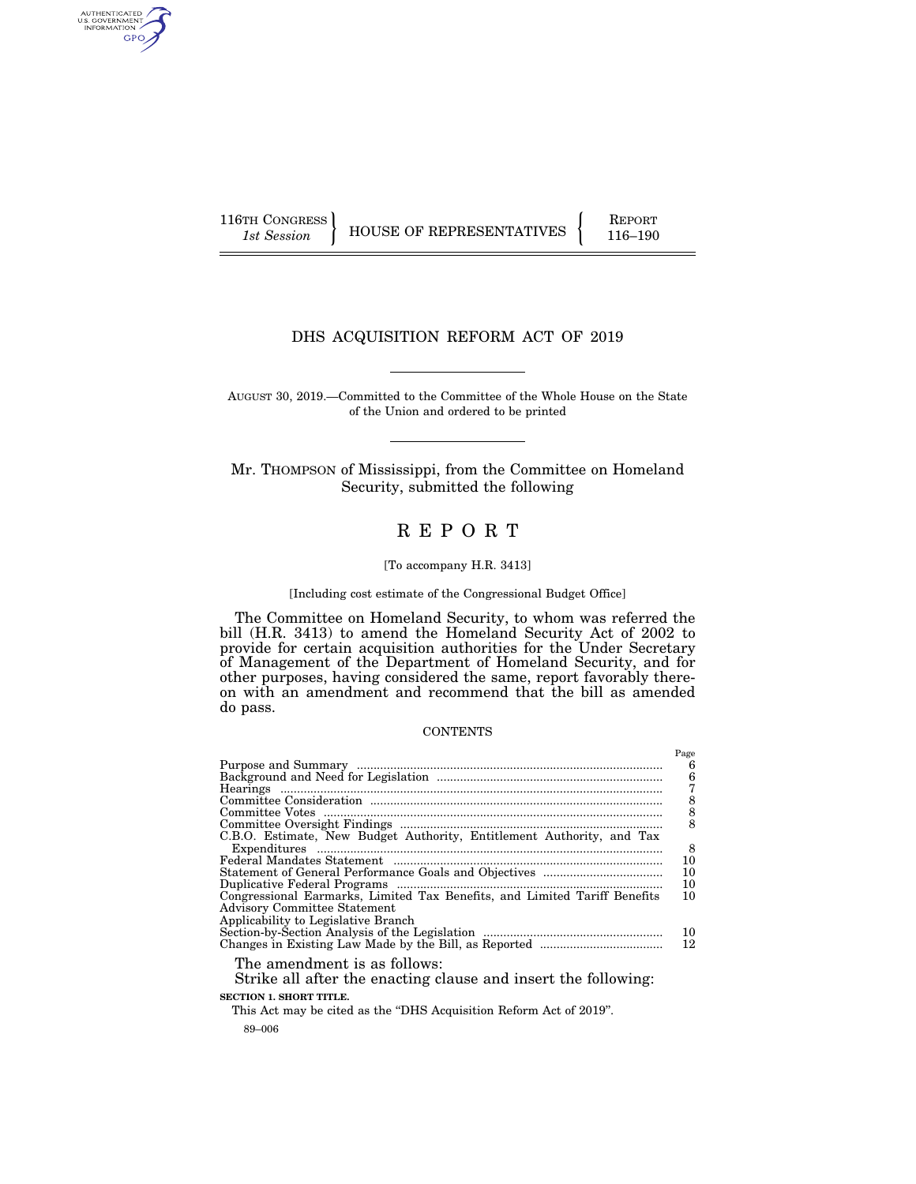AUTHENTICATED<br>U.S. GOVERNMENT<br>INFORMATION GPO

116TH CONGRESS HOUSE OF REPRESENTATIVES FEPORT 116–190

# DHS ACQUISITION REFORM ACT OF 2019

AUGUST 30, 2019.—Committed to the Committee of the Whole House on the State of the Union and ordered to be printed

Mr. THOMPSON of Mississippi, from the Committee on Homeland Security, submitted the following

# R E P O R T

### [To accompany H.R. 3413]

## [Including cost estimate of the Congressional Budget Office]

The Committee on Homeland Security, to whom was referred the bill (H.R. 3413) to amend the Homeland Security Act of 2002 to provide for certain acquisition authorities for the Under Secretary of Management of the Department of Homeland Security, and for other purposes, having considered the same, report favorably thereon with an amendment and recommend that the bill as amended do pass.

### **CONTENTS**

| Hearings                                                                                                                                    | Page<br>6<br>$\frac{6}{7}$                   |
|---------------------------------------------------------------------------------------------------------------------------------------------|----------------------------------------------|
|                                                                                                                                             | $\begin{array}{c}\n8 \\ 8 \\ 8\n\end{array}$ |
|                                                                                                                                             |                                              |
|                                                                                                                                             |                                              |
| C.B.O. Estimate, New Budget Authority, Entitlement Authority, and Tax                                                                       |                                              |
| $\begin{minipage}{0.9\linewidth} \textbf{Expenditures} \end{minipage} \begin{minipage}{0.9\linewidth} \textbf{Expenditures} \end{minipage}$ | 8                                            |
|                                                                                                                                             | 10                                           |
|                                                                                                                                             | 10                                           |
|                                                                                                                                             | 10                                           |
| Congressional Earmarks, Limited Tax Benefits, and Limited Tariff Benefits<br><b>Advisory Committee Statement</b>                            | 10                                           |
| Applicability to Legislative Branch                                                                                                         |                                              |
|                                                                                                                                             | 10                                           |
|                                                                                                                                             | 12                                           |
| The amendment is as follows:<br>Strike all after the enacting clause and insert the following:                                              |                                              |
| <b>SECTION 1. SHORT TITLE.</b>                                                                                                              |                                              |
|                                                                                                                                             |                                              |

89–006 This Act may be cited as the "DHS Acquisition Reform Act of 2019".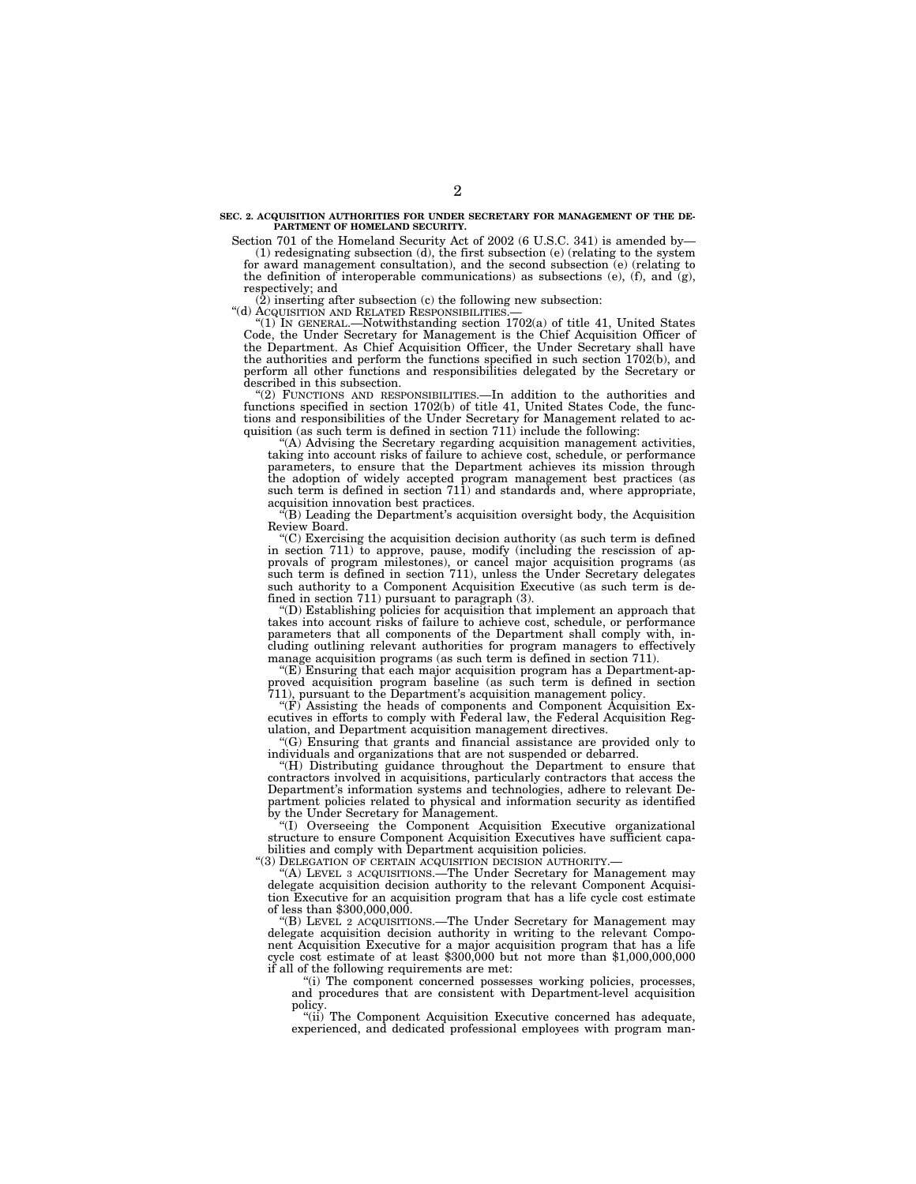#### **SEC. 2. ACQUISITION AUTHORITIES FOR UNDER SECRETARY FOR MANAGEMENT OF THE DE-PARTMENT OF HOMELAND SECURITY.**

Section 701 of the Homeland Security Act of 2002 (6 U.S.C. 341) is amended by— (1) redesignating subsection (d), the first subsection (e) (relating to the system for award management consultation), and the second subsection (e) (relating to

the definition of interoperable communications) as subsections (e), (f), and  $(g)$ , respectively; and

 $(2)$  inserting after subsection (c) the following new subsection: "(d) ACQUISITION AND RELATED RESPONSIBILITIES.—

 $^{\prime}(1)$  In GENERAL.—Notwithstanding section 1702(a) of title 41, United States Code, the Under Secretary for Management is the Chief Acquisition Officer of the Department. As Chief Acquisition Officer, the Under Secretary shall have the authorities and perform the functions specified in such section 1702(b), and perform all other functions and responsibilities delegated by the Secretary or described in this subsection.

''(2) FUNCTIONS AND RESPONSIBILITIES.—In addition to the authorities and functions specified in section 1702(b) of title 41, United States Code, the functions and responsibilities of the Under Secretary for Management related to acquisition (as such term is defined in section 711) include the following:

''(A) Advising the Secretary regarding acquisition management activities, taking into account risks of failure to achieve cost, schedule, or performance parameters, to ensure that the Department achieves its mission through the adoption of widely accepted program management best practices (as such term is defined in section 711) and standards and, where appropriate, acquisition innovation best practices.

(B) Leading the Department's acquisition oversight body, the Acquisition Review Board.

''(C) Exercising the acquisition decision authority (as such term is defined in section 711) to approve, pause, modify (including the rescission of approvals of program milestones), or cancel major acquisition programs (as such term is defined in section 711), unless the Under Secretary delegates such authority to a Component Acquisition Executive (as such term is defined in section 711) pursuant to paragraph (3).

''(D) Establishing policies for acquisition that implement an approach that takes into account risks of failure to achieve cost, schedule, or performance parameters that all components of the Department shall comply with, including outlining relevant authorities for program managers to effectively manage acquisition programs (as such term is defined in section 711).

''(E) Ensuring that each major acquisition program has a Department-approved acquisition program baseline (as such term is defined in section 711), pursuant to the Department's acquisition management policy.

''(F) Assisting the heads of components and Component Acquisition Executives in efforts to comply with Federal law, the Federal Acquisition Regulation, and Department acquisition management directives.

" $(G)$  Ensuring that grants and financial assistance are provided only to individuals and organizations that are not suspended or debarred.

''(H) Distributing guidance throughout the Department to ensure that contractors involved in acquisitions, particularly contractors that access the Department's information systems and technologies, adhere to relevant Department policies related to physical and information security as identified by the Under Secretary for Management.

''(I) Overseeing the Component Acquisition Executive organizational structure to ensure Component Acquisition Executives have sufficient capabilities and comply with Department acquisition policies.

"(3) DELEGATION OF CERTAIN ACQUISITION DECISION AUTHORITY.-

'(A) LEVEL 3 ACQUISITIONS.—The Under Secretary for Management may delegate acquisition decision authority to the relevant Component Acquisition Executive for an acquisition program that has a life cycle cost estimate of less than \$300,000,000.

''(B) LEVEL 2 ACQUISITIONS.—The Under Secretary for Management may delegate acquisition decision authority in writing to the relevant Component Acquisition Executive for a major acquisition program that has a life cycle cost estimate of at least \$300,000 but not more than \$1,000,000,000 if all of the following requirements are met:

"(i) The component concerned possesses working policies, processes, and procedures that are consistent with Department-level acquisition policy.

"(ii) The Component Acquisition Executive concerned has adequate, experienced, and dedicated professional employees with program man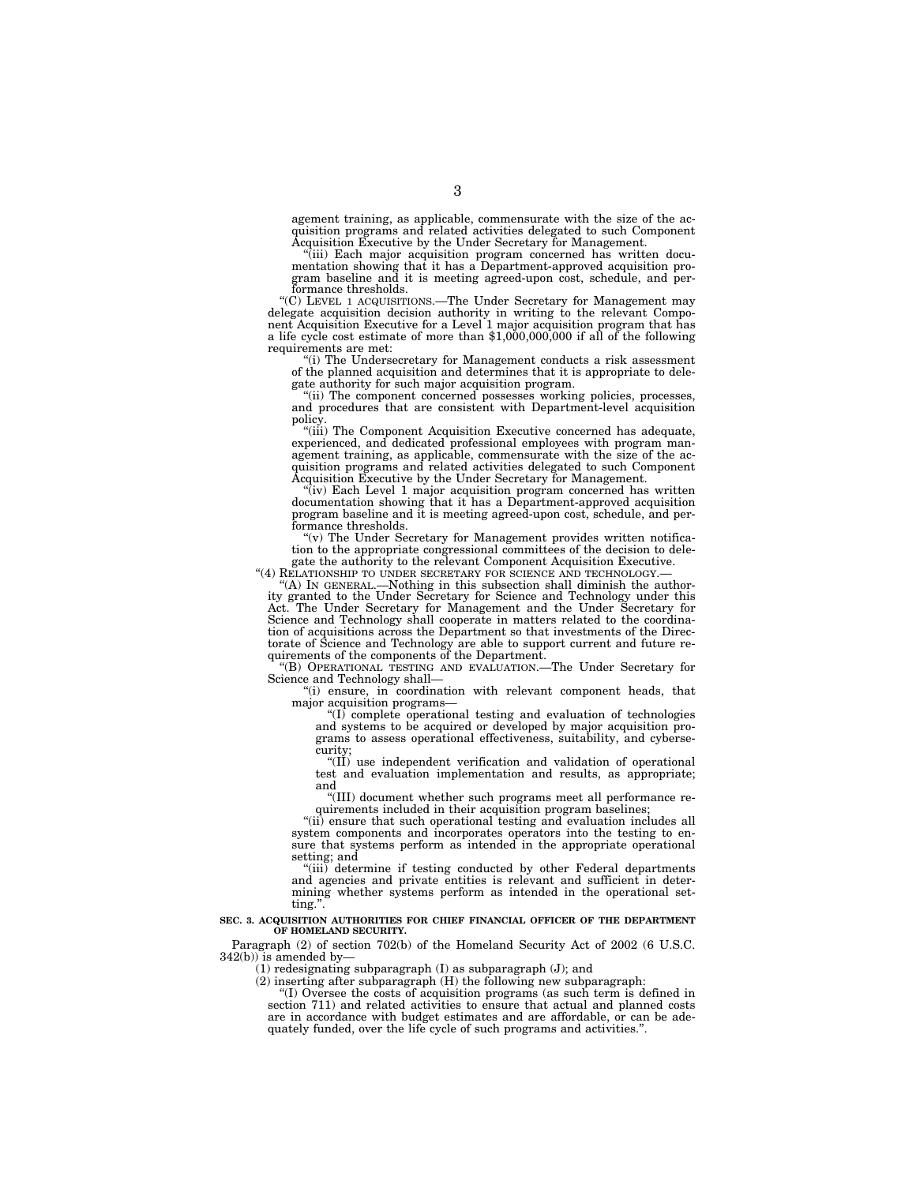agement training, as applicable, commensurate with the size of the acquisition programs and related activities delegated to such Component Acquisition Executive by the Under Secretary for Management.

(iii) Each major acquisition program concerned has written documentation showing that it has a Department-approved acquisition program baseline and it is meeting agreed-upon cost, schedule, and performance thresholds.

''(C) LEVEL 1 ACQUISITIONS.—The Under Secretary for Management may delegate acquisition decision authority in writing to the relevant Component Acquisition Executive for a Level 1 major acquisition program that has a life cycle cost estimate of more than  $$1,000,000,000$  if all of the following requirements are met:

(i) The Undersecretary for Management conducts a risk assessment of the planned acquisition and determines that it is appropriate to delegate authority for such major acquisition program.

''(ii) The component concerned possesses working policies, processes, and procedures that are consistent with Department-level acquisition

policy.<br>"(iii) The Component Acquisition Executive concerned has adequate, experienced, and dedicated professional employees with program man-agement training, as applicable, commensurate with the size of the acquisition programs and related activities delegated to such Component Acquisition Executive by the Under Secretary for Management.

''(iv) Each Level 1 major acquisition program concerned has written documentation showing that it has a Department-approved acquisition program baseline and it is meeting agreed-upon cost, schedule, and performance thresholds.

 $(v)$  The Under Secretary for Management provides written notification to the appropriate congressional committees of the decision to dele-gate the authority to the relevant Component Acquisition Executive.

"(4) RELATIONSHIP TO UNDER SECRETARY FOR SCIENCE AND TECHNOLOGY.—<br>"(A) IN GENERAL.—Nothing in this subsection shall diminish the author-<br>ity granted to the Under Secretary for Science and Technology under this<br>Act. The Und Science and Technology shall cooperate in matters related to the coordination of acquisitions across the Department so that investments of the Directorate of Science and Technology are able to support current and future re-quirements of the components of the Department.

''(B) OPERATIONAL TESTING AND EVALUATION.—The Under Secretary for Science and Technology shall-

''(i) ensure, in coordination with relevant component heads, that major acquisition programs—<br>"(I) complete operational testing and evaluation of technologies

and systems to be acquired or developed by major acquisition pro-grams to assess operational effectiveness, suitability, and cybersecurity;

" $(\tilde{II})$  use independent verification and validation of operational test and evaluation implementation and results, as appropriate; and

''(III) document whether such programs meet all performance requirements included in their acquisition program baselines;

''(ii) ensure that such operational testing and evaluation includes all system components and incorporates operators into the testing to ensure that systems perform as intended in the appropriate operational setting; and

"(iii) determine if testing conducted by other Federal departments and agencies and private entities is relevant and sufficient in determining whether systems perform as intended in the operational setting.''.

#### **SEC. 3. ACQUISITION AUTHORITIES FOR CHIEF FINANCIAL OFFICER OF THE DEPARTMENT OF HOMELAND SECURITY.**

Paragraph (2) of section 702(b) of the Homeland Security Act of 2002 (6 U.S.C.  $342(b)$ ) is amended by-

(1) redesignating subparagraph (I) as subparagraph (J); and

(2) inserting after subparagraph (H) the following new subparagraph:

''(I) Oversee the costs of acquisition programs (as such term is defined in section 711) and related activities to ensure that actual and planned costs are in accordance with budget estimates and are affordable, or can be adequately funded, over the life cycle of such programs and activities.''.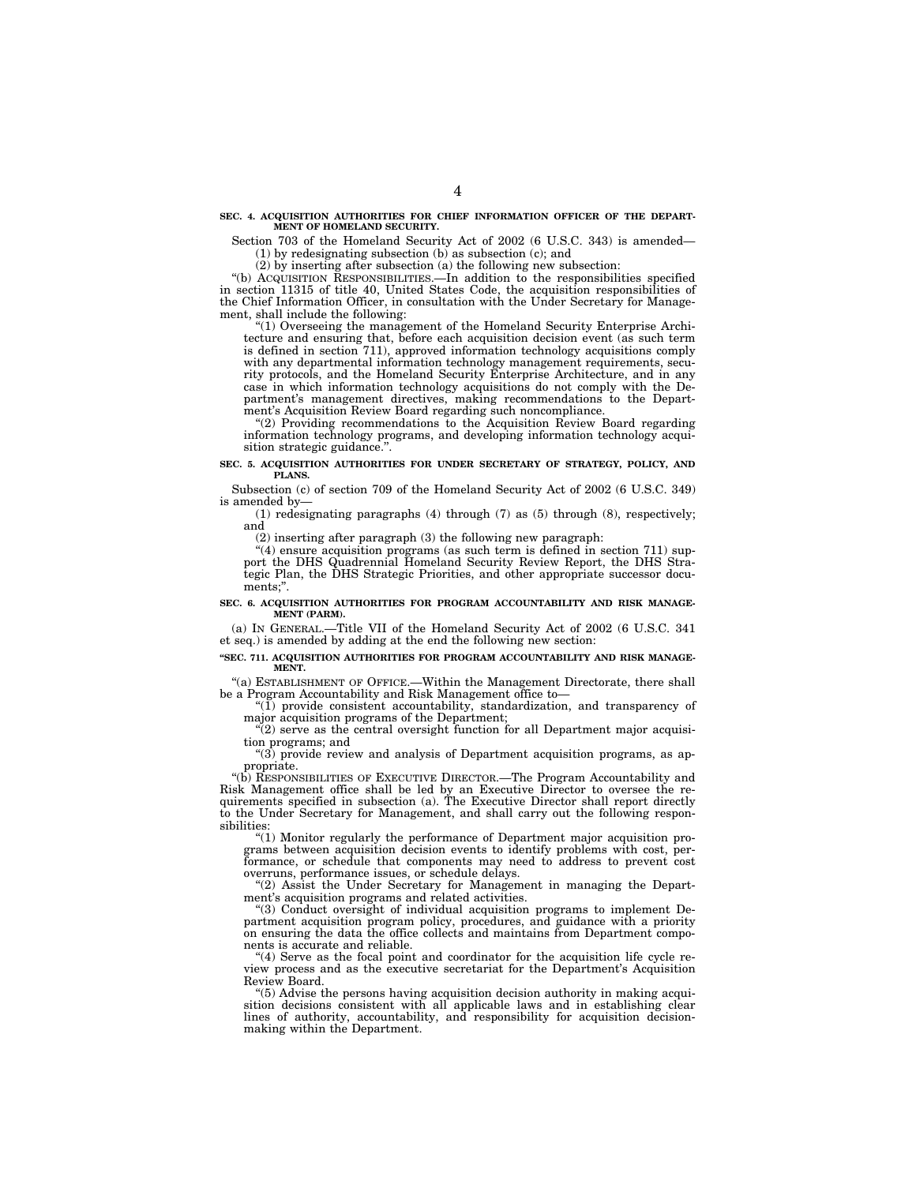#### **SEC. 4. ACQUISITION AUTHORITIES FOR CHIEF INFORMATION OFFICER OF THE DEPART-MENT OF HOMELAND SECURITY.**

Section 703 of the Homeland Security Act of 2002 (6 U.S.C. 343) is amended— (1) by redesignating subsection (b) as subsection (c); and

(2) by inserting after subsection (a) the following new subsection:

''(b) ACQUISITION RESPONSIBILITIES.—In addition to the responsibilities specified in section 11315 of title 40, United States Code, the acquisition responsibilities of the Chief Information Officer, in consultation with the Under Secretary for Management, shall include the following:

''(1) Overseeing the management of the Homeland Security Enterprise Architecture and ensuring that, before each acquisition decision event (as such term is defined in section 711), approved information technology acquisitions comply with any departmental information technology management requirements, security protocols, and the Homeland Security Enterprise Architecture, and in any case in which information technology acquisitions do not comply with the Department's management directives, making recommendations to the Department's Acquisition Review Board regarding such noncompliance.

"(2) Providing recommendations to the Acquisition Review Board regarding information technology programs, and developing information technology acquisition strategic guidance.".

#### **SEC. 5. ACQUISITION AUTHORITIES FOR UNDER SECRETARY OF STRATEGY, POLICY, AND PLANS.**

Subsection (c) of section 709 of the Homeland Security Act of 2002 (6 U.S.C. 349) is amended by—

(1) redesignating paragraphs (4) through (7) as (5) through (8), respectively; and

(2) inserting after paragraph (3) the following new paragraph:

"(4) ensure acquisition programs (as such term is defined in section 711) support the DHS Quadrennial Homeland Security Review Report, the DHS Strategic Plan, the DHS Strategic Priorities, and other appropriate successor documents;''.

#### **SEC. 6. ACQUISITION AUTHORITIES FOR PROGRAM ACCOUNTABILITY AND RISK MANAGE-MENT (PARM).**

(a) IN GENERAL.—Title VII of the Homeland Security Act of 2002 (6 U.S.C. 341 et seq.) is amended by adding at the end the following new section:

#### **''SEC. 711. ACQUISITION AUTHORITIES FOR PROGRAM ACCOUNTABILITY AND RISK MANAGE-MENT.**

"(a) ESTABLISHMENT OF OFFICE.—Within the Management Directorate, there shall be a Program Accountability and Risk Management office to—

 $(1)$  provide consistent accountability, standardization, and transparency of major acquisition programs of the Department;

"(2) serve as the central oversight function for all Department major acquisition programs; and

 $'(3)$  provide review and analysis of Department acquisition programs, as appropriate.

''(b) RESPONSIBILITIES OF EXECUTIVE DIRECTOR.—The Program Accountability and Risk Management office shall be led by an Executive Director to oversee the requirements specified in subsection (a). The Executive Director shall report directly to the Under Secretary for Management, and shall carry out the following responsibilities:

''(1) Monitor regularly the performance of Department major acquisition programs between acquisition decision events to identify problems with cost, performance, or schedule that components may need to address to prevent cost overruns, performance issues, or schedule delays.

''(2) Assist the Under Secretary for Management in managing the Department's acquisition programs and related activities.

''(3) Conduct oversight of individual acquisition programs to implement Department acquisition program policy, procedures, and guidance with a priority on ensuring the data the office collects and maintains from Department components is accurate and reliable.

''(4) Serve as the focal point and coordinator for the acquisition life cycle review process and as the executive secretariat for the Department's Acquisition Review Board.

''(5) Advise the persons having acquisition decision authority in making acquisition decisions consistent with all applicable laws and in establishing clear lines of authority, accountability, and responsibility for acquisition decisionmaking within the Department.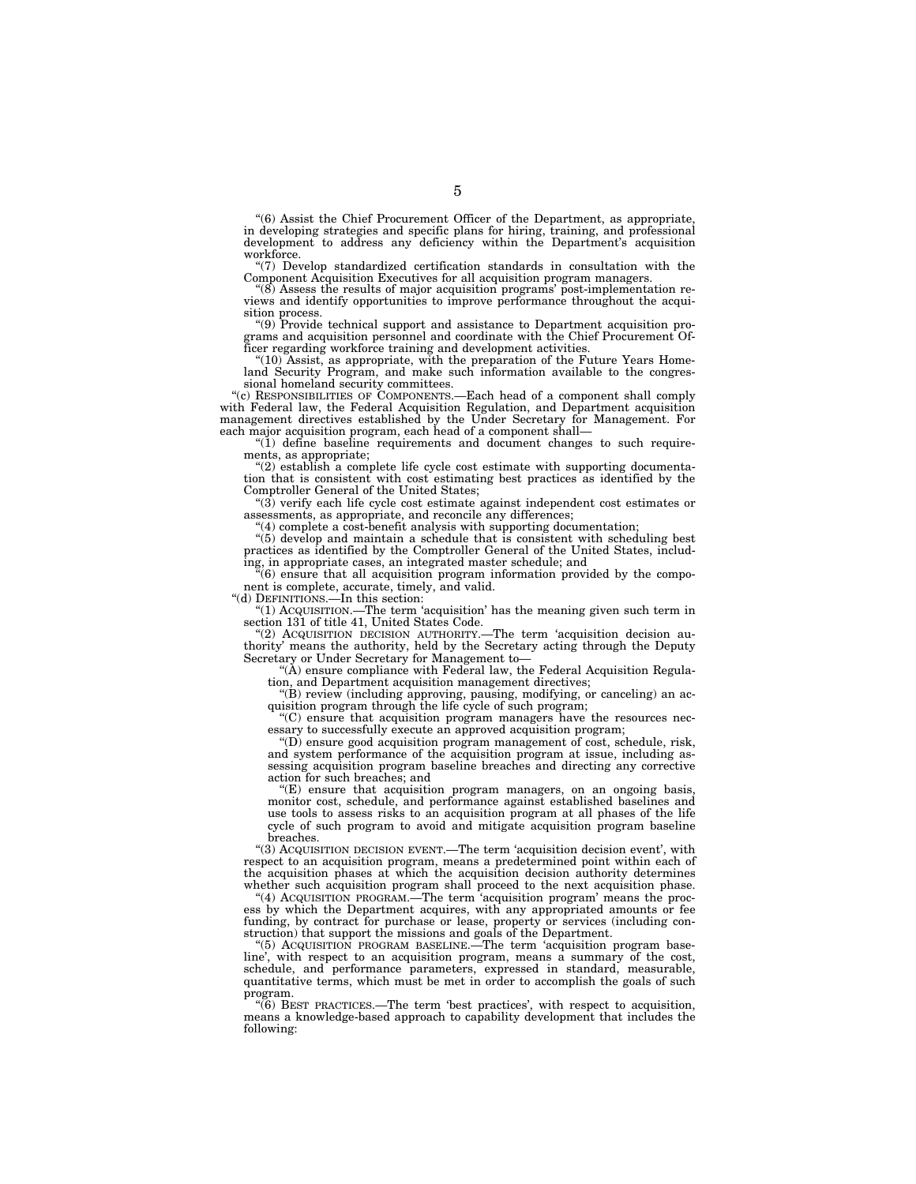''(6) Assist the Chief Procurement Officer of the Department, as appropriate, in developing strategies and specific plans for hiring, training, and professional development to address any deficiency within the Department's acquisition workforce.

''(7) Develop standardized certification standards in consultation with the Component Acquisition Executives for all acquisition program managers.

 $\cdot$ (8) Assess the results of major acquisition programs' post-implementation reviews and identify opportunities to improve performance throughout the acquisition process.

''(9) Provide technical support and assistance to Department acquisition programs and acquisition personnel and coordinate with the Chief Procurement Officer regarding workforce training and development activities.

''(10) Assist, as appropriate, with the preparation of the Future Years Homeland Security Program, and make such information available to the congressional homeland security committees.

''(c) RESPONSIBILITIES OF COMPONENTS.—Each head of a component shall comply with Federal law, the Federal Acquisition Regulation, and Department acquisition management directives established by the Under Secretary for Management. For each major acquisition program, each head of a component shall—

 $*(1)$  define baseline requirements and document changes to such requirements, as appropriate;

" $(2)$  establish a complete life cycle cost estimate with supporting documentation that is consistent with cost estimating best practices as identified by the Comptroller General of the United States;

''(3) verify each life cycle cost estimate against independent cost estimates or assessments, as appropriate, and reconcile any differences;

''(4) complete a cost-benefit analysis with supporting documentation;

''(5) develop and maintain a schedule that is consistent with scheduling best practices as identified by the Comptroller General of the United States, including, in appropriate cases, an integrated master schedule; and

''(6) ensure that all acquisition program information provided by the component is complete, accurate, timely, and valid.

''(d) DEFINITIONS.—In this section:

''(1) ACQUISITION.—The term 'acquisition' has the meaning given such term in section 131 of title 41, United States Code.

''(2) ACQUISITION DECISION AUTHORITY.—The term 'acquisition decision authority' means the authority, held by the Secretary acting through the Deputy Secretary or Under Secretary for Management to—

 $(A)$  ensure compliance with Federal law, the Federal Acquisition Regulation, and Department acquisition management directives;

''(B) review (including approving, pausing, modifying, or canceling) an acquisition program through the life cycle of such program;

''(C) ensure that acquisition program managers have the resources necessary to successfully execute an approved acquisition program;

''(D) ensure good acquisition program management of cost, schedule, risk, and system performance of the acquisition program at issue, including assessing acquisition program baseline breaches and directing any corrective action for such breaches; and

''(E) ensure that acquisition program managers, on an ongoing basis, monitor cost, schedule, and performance against established baselines and use tools to assess risks to an acquisition program at all phases of the life cycle of such program to avoid and mitigate acquisition program baseline breaches.

''(3) ACQUISITION DECISION EVENT.—The term 'acquisition decision event', with respect to an acquisition program, means a predetermined point within each of the acquisition phases at which the acquisition decision authority determines whether such acquisition program shall proceed to the next acquisition phase.

''(4) ACQUISITION PROGRAM.—The term 'acquisition program' means the process by which the Department acquires, with any appropriated amounts or fee funding, by contract for purchase or lease, property or services (including construction) that support the missions and goals of the Department.

''(5) ACQUISITION PROGRAM BASELINE.—The term 'acquisition program baseline', with respect to an acquisition program, means a summary of the cost, schedule, and performance parameters, expressed in standard, measurable, quantitative terms, which must be met in order to accomplish the goals of such program.

''(6) BEST PRACTICES.—The term 'best practices', with respect to acquisition, means a knowledge-based approach to capability development that includes the following: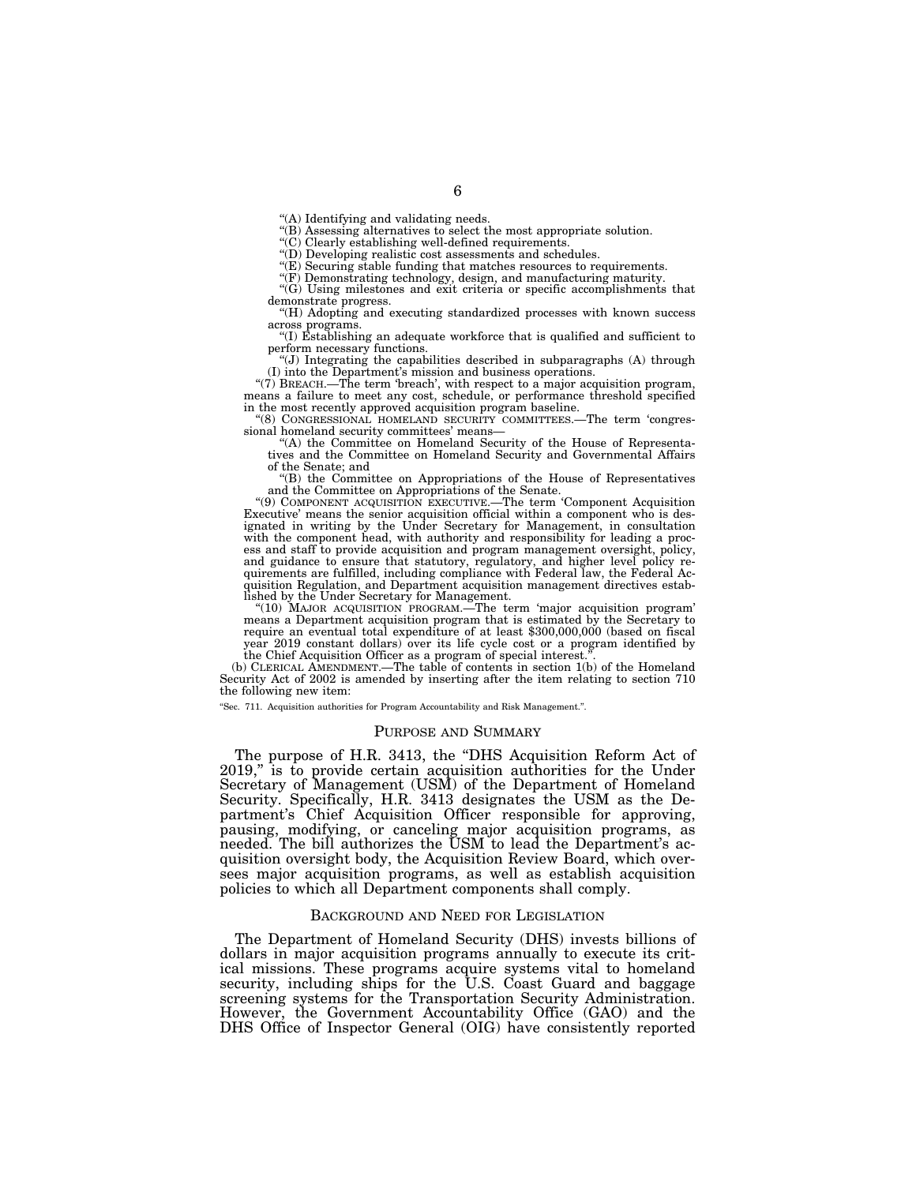''(A) Identifying and validating needs.

''(B) Assessing alternatives to select the most appropriate solution.

''(C) Clearly establishing well-defined requirements.

''(D) Developing realistic cost assessments and schedules.

''(E) Securing stable funding that matches resources to requirements.

''(F) Demonstrating technology, design, and manufacturing maturity.

''(G) Using milestones and exit criteria or specific accomplishments that demonstrate progress.

''(H) Adopting and executing standardized processes with known success across programs.

''(I) Establishing an adequate workforce that is qualified and sufficient to

perform necessary functions.<br>"(J) Integrating the capabilities described in subparagraphs (A) through

(I) into the Department's mission and business operations. ''(7) BREACH.—The term 'breach', with respect to a major acquisition program, means a failure to meet any cost, schedule, or performance threshold specified in the most recently approved acquisition program baseline.

''(8) CONGRESSIONAL HOMELAND SECURITY COMMITTEES.—The term 'congres-sional homeland security committees' means—

''(A) the Committee on Homeland Security of the House of Representa-tives and the Committee on Homeland Security and Governmental Affairs of the Senate; and

''(B) the Committee on Appropriations of the House of Representatives

and the Committee on Appropriations of the Senate.<br>
"(9) COMPONENT ACQUISITION EXECUTIVE.—The term 'Component Acquisition Executive' means the senior acquisition official within a component who is designated in writing by the Under Secretary for Management, in consultation with the component head, with authority and responsibility for leading a process and staff to provide acquisition and program management oversight, policy, and guidance to ensure that statutory, regulatory, and higher level policy re-quirements are fulfilled, including compliance with Federal law, the Federal Acquisition Regulation, and Department acquisition management directives estab-

lished by the Under Secretary for Management.<br>
"(10) MAJOR ACQUISITION PROGRAM.—The term 'major acquisition program'<br>
means a Department acquisition program that is estimated by the Secretary to require an eventual total expenditure of at least \$300,000,000 (based on fiscal year 2019 constant dollars) over its life cycle cost or a program identified by the Chief Acquisition Officer as a program of special interest.

(b) CLERICAL AMENDMENT.—The table of contents in section 1(b) of the Homeland Security Act of 2002 is amended by inserting after the item relating to section 710 the following new item:

''Sec. 711. Acquisition authorities for Program Accountability and Risk Management.''.

### PURPOSE AND SUMMARY

The purpose of H.R. 3413, the ''DHS Acquisition Reform Act of 2019,'' is to provide certain acquisition authorities for the Under Secretary of Management (USM) of the Department of Homeland Security. Specifically, H.R. 3413 designates the USM as the Department's Chief Acquisition Officer responsible for approving, pausing, modifying, or canceling major acquisition programs, as needed. The bill authorizes the USM to lead the Department's acquisition oversight body, the Acquisition Review Board, which oversees major acquisition programs, as well as establish acquisition policies to which all Department components shall comply.

#### BACKGROUND AND NEED FOR LEGISLATION

The Department of Homeland Security (DHS) invests billions of dollars in major acquisition programs annually to execute its critical missions. These programs acquire systems vital to homeland security, including ships for the U.S. Coast Guard and baggage screening systems for the Transportation Security Administration. However, the Government Accountability Office (GAO) and the DHS Office of Inspector General (OIG) have consistently reported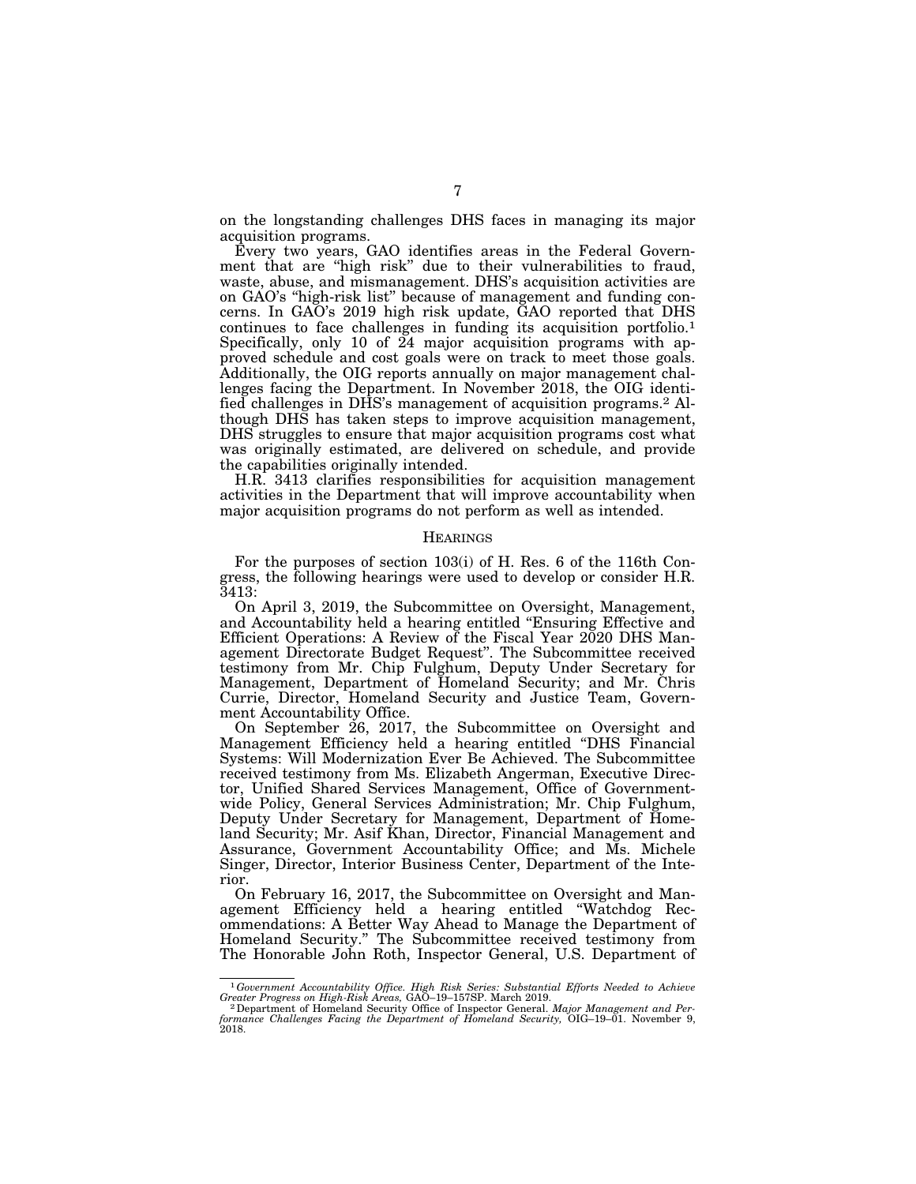on the longstanding challenges DHS faces in managing its major acquisition programs.

Every two years, GAO identifies areas in the Federal Government that are "high risk" due to their vulnerabilities to fraud, waste, abuse, and mismanagement. DHS's acquisition activities are on GAO's ''high-risk list'' because of management and funding concerns. In GAO's 2019 high risk update, GAO reported that DHS continues to face challenges in funding its acquisition portfolio.<sup>1</sup> Specifically, only 10 of 24 major acquisition programs with approved schedule and cost goals were on track to meet those goals. Additionally, the OIG reports annually on major management challenges facing the Department. In November 2018, the OIG identified challenges in DHS's management of acquisition programs.2 Although DHS has taken steps to improve acquisition management, DHS struggles to ensure that major acquisition programs cost what was originally estimated, are delivered on schedule, and provide the capabilities originally intended.

H.R. 3413 clarifies responsibilities for acquisition management activities in the Department that will improve accountability when major acquisition programs do not perform as well as intended.

#### **HEARINGS**

For the purposes of section 103(i) of H. Res. 6 of the 116th Congress, the following hearings were used to develop or consider H.R. 3413:

On April 3, 2019, the Subcommittee on Oversight, Management, and Accountability held a hearing entitled ''Ensuring Effective and Efficient Operations: A Review of the Fiscal Year 2020 DHS Management Directorate Budget Request''. The Subcommittee received testimony from Mr. Chip Fulghum, Deputy Under Secretary for Management, Department of Homeland Security; and Mr. Chris Currie, Director, Homeland Security and Justice Team, Government Accountability Office.

On September 26, 2017, the Subcommittee on Oversight and Management Efficiency held a hearing entitled ''DHS Financial Systems: Will Modernization Ever Be Achieved. The Subcommittee received testimony from Ms. Elizabeth Angerman, Executive Director, Unified Shared Services Management, Office of Governmentwide Policy, General Services Administration; Mr. Chip Fulghum, Deputy Under Secretary for Management, Department of Homeland Security; Mr. Asif Khan, Director, Financial Management and Assurance, Government Accountability Office; and Ms. Michele Singer, Director, Interior Business Center, Department of the Interior.

On February 16, 2017, the Subcommittee on Oversight and Management Efficiency held a hearing entitled ''Watchdog Recommendations: A Better Way Ahead to Manage the Department of Homeland Security.'' The Subcommittee received testimony from The Honorable John Roth, Inspector General, U.S. Department of

<sup>&</sup>lt;sup>1</sup> Government Accountability Office. High Risk Series: Substantial Efforts Needed to Achieve Greater Progress on High-Risk Areas, GAO-19-157SP. March 2019.

*Greater Progress on High-Risk Areas, GAO*–19–157SP. March 2019.<br><sup>2</sup> Department of Homeland Security Office of Inspector General. *Major Management and Performance Challenges Facing the Department of Homeland Security, OIG*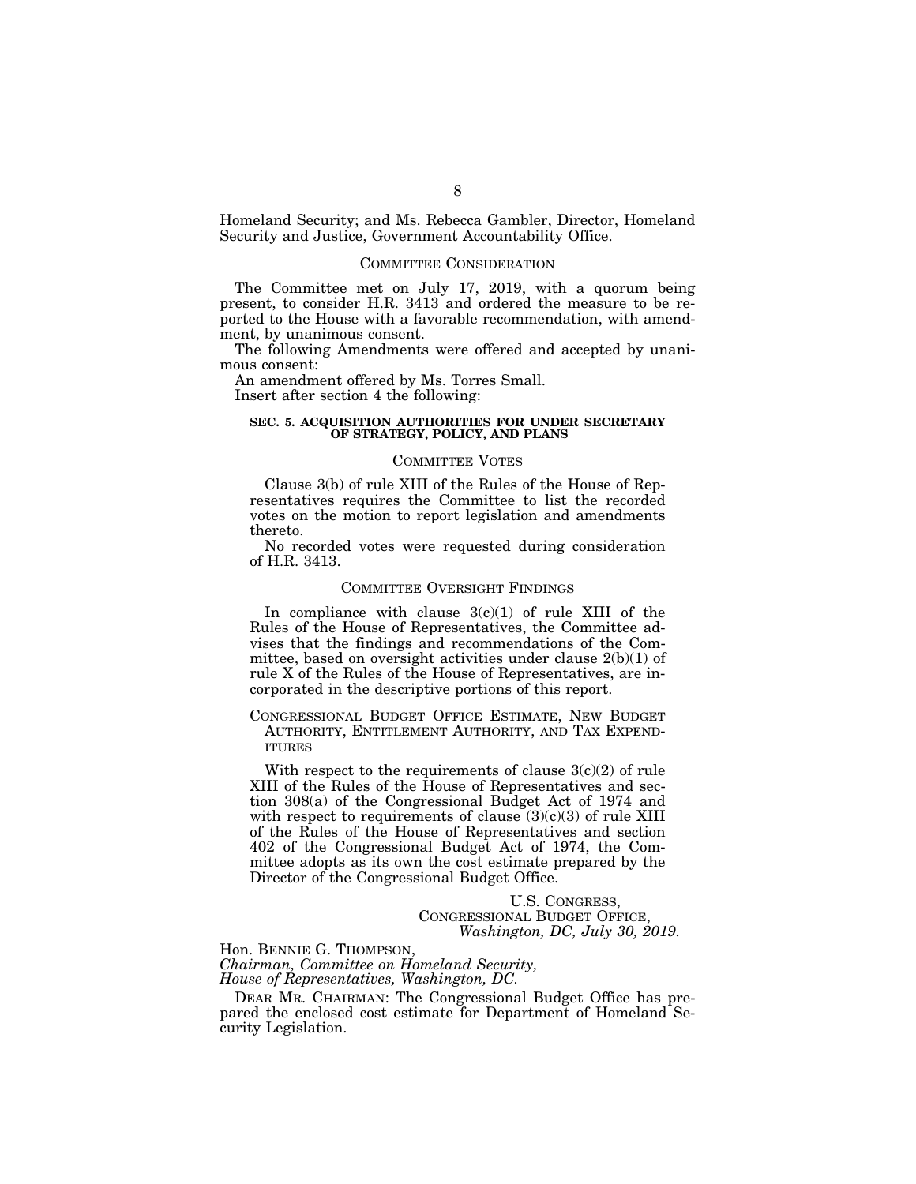Homeland Security; and Ms. Rebecca Gambler, Director, Homeland Security and Justice, Government Accountability Office.

#### COMMITTEE CONSIDERATION

The Committee met on July 17, 2019, with a quorum being present, to consider H.R. 3413 and ordered the measure to be reported to the House with a favorable recommendation, with amendment, by unanimous consent.

The following Amendments were offered and accepted by unanimous consent:

An amendment offered by Ms. Torres Small.

Insert after section 4 the following:

### **SEC. 5. ACQUISITION AUTHORITIES FOR UNDER SECRETARY OF STRATEGY, POLICY, AND PLANS**

## COMMITTEE VOTES

Clause 3(b) of rule XIII of the Rules of the House of Representatives requires the Committee to list the recorded votes on the motion to report legislation and amendments thereto.

No recorded votes were requested during consideration of H.R. 3413.

#### COMMITTEE OVERSIGHT FINDINGS

In compliance with clause  $3(c)(1)$  of rule XIII of the Rules of the House of Representatives, the Committee advises that the findings and recommendations of the Committee, based on oversight activities under clause  $2(b)(1)$  of rule X of the Rules of the House of Representatives, are incorporated in the descriptive portions of this report.

CONGRESSIONAL BUDGET OFFICE ESTIMATE, NEW BUDGET AUTHORITY, ENTITLEMENT AUTHORITY, AND TAX EXPEND-ITURES

With respect to the requirements of clause  $3(c)(2)$  of rule XIII of the Rules of the House of Representatives and section 308(a) of the Congressional Budget Act of 1974 and with respect to requirements of clause  $(3)(c)(3)$  of rule XIII of the Rules of the House of Representatives and section 402 of the Congressional Budget Act of 1974, the Committee adopts as its own the cost estimate prepared by the Director of the Congressional Budget Office.

> U.S. CONGRESS, CONGRESSIONAL BUDGET OFFICE, *Washington, DC, July 30, 2019.*

Hon. BENNIE G. THOMPSON, *Chairman, Committee on Homeland Security, House of Representatives, Washington, DC.* 

DEAR MR. CHAIRMAN: The Congressional Budget Office has prepared the enclosed cost estimate for Department of Homeland Security Legislation.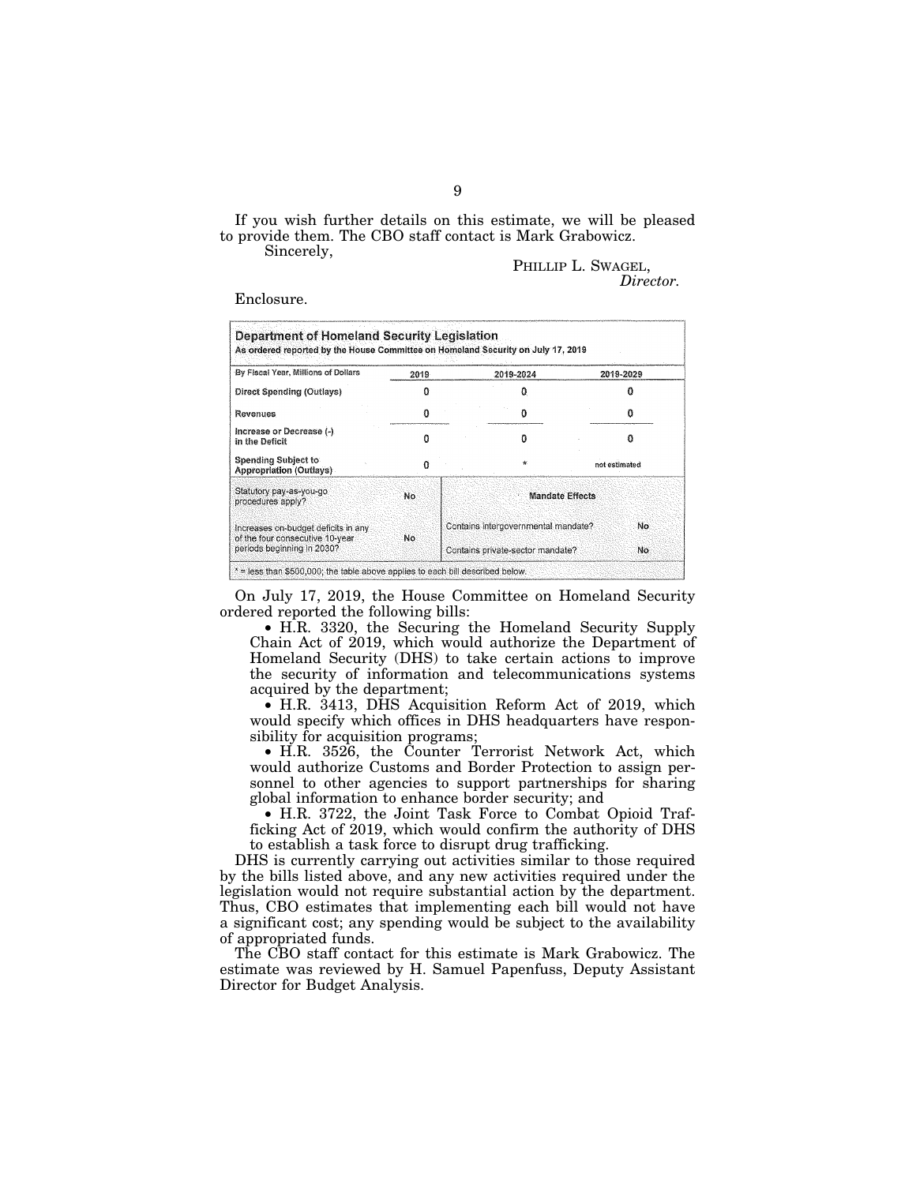If you wish further details on this estimate, we will be pleased to provide them. The CBO staff contact is Mark Grabowicz.

Sincerely,

PHILLIP L. SWAGEL, *Director.* 

Enclosure.

| By Fiscal Year, Millions of Dollars                                    | 2019 |                                     | 2019-2024 |  | 2019-2029     |  |
|------------------------------------------------------------------------|------|-------------------------------------|-----------|--|---------------|--|
| Direct Spending (Outlays)                                              |      |                                     |           |  |               |  |
| Revenues                                                               |      |                                     |           |  |               |  |
| Increase or Decrease (-).<br>in the Deficit                            |      |                                     |           |  | not estimated |  |
| <b>Spending Subject to</b><br>Appropriation (Outlays)                  |      |                                     | ÷.        |  |               |  |
| Statutory pay-as-you-go<br>procedures apply?                           | No   | <b>Mandate Effects</b>              |           |  |               |  |
| Increases on-budget deficits in any<br>of the four consecutive 10-year | No.  | Contains intergovernmental mandate? |           |  | No.           |  |
| periods beginning in 2030?                                             |      | Contains private-sector mandate?    |           |  | No            |  |

On July 17, 2019, the House Committee on Homeland Security ordered reported the following bills:

• H.R. 3320, the Securing the Homeland Security Supply Chain Act of 2019, which would authorize the Department of Homeland Security (DHS) to take certain actions to improve the security of information and telecommunications systems acquired by the department;

• H.R. 3413, DHS Acquisition Reform Act of 2019, which would specify which offices in DHS headquarters have responsibility for acquisition programs;

• H.R. 3526, the Counter Terrorist Network Act, which would authorize Customs and Border Protection to assign personnel to other agencies to support partnerships for sharing global information to enhance border security; and

• H.R. 3722, the Joint Task Force to Combat Opioid Trafficking Act of 2019, which would confirm the authority of DHS to establish a task force to disrupt drug trafficking.

DHS is currently carrying out activities similar to those required by the bills listed above, and any new activities required under the legislation would not require substantial action by the department. Thus, CBO estimates that implementing each bill would not have a significant cost; any spending would be subject to the availability of appropriated funds.

The CBO staff contact for this estimate is Mark Grabowicz. The estimate was reviewed by H. Samuel Papenfuss, Deputy Assistant Director for Budget Analysis.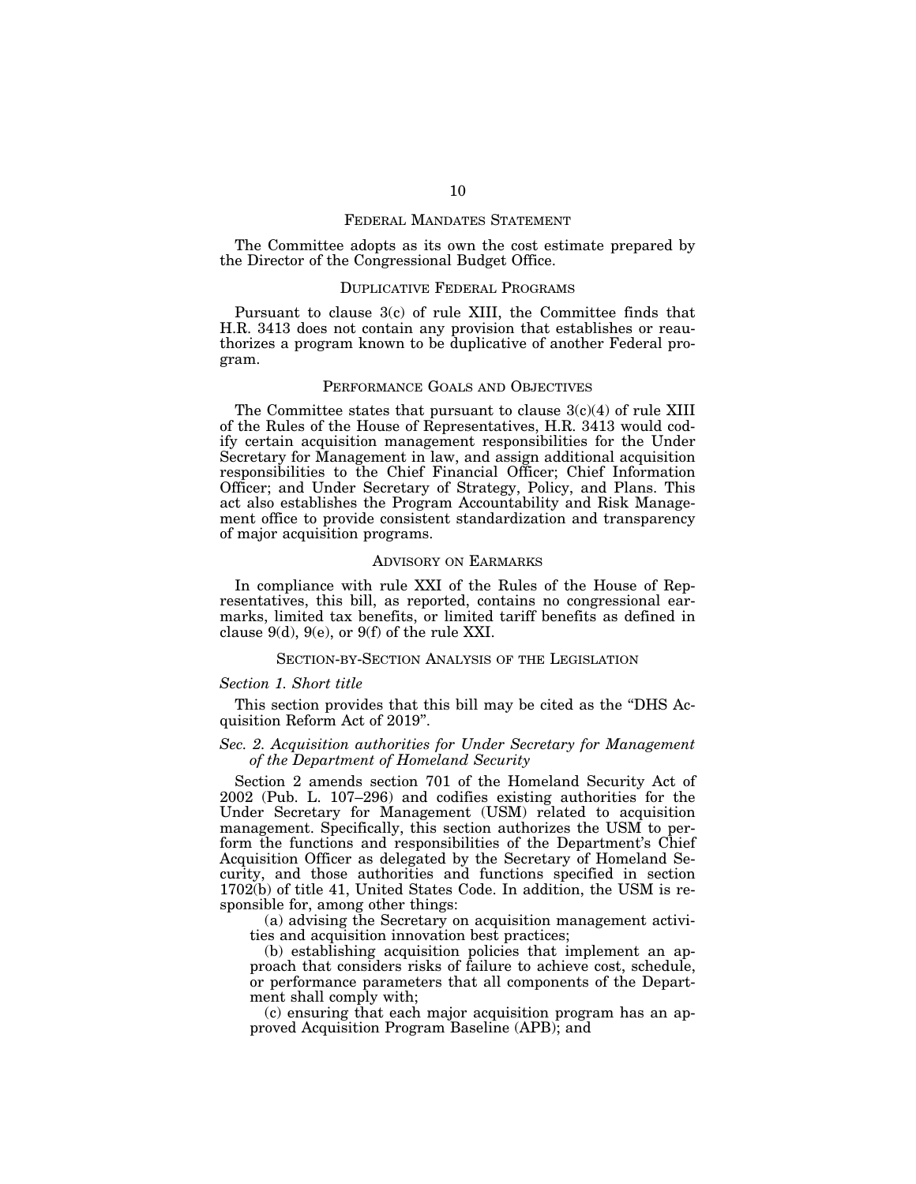#### FEDERAL MANDATES STATEMENT

The Committee adopts as its own the cost estimate prepared by the Director of the Congressional Budget Office.

#### DUPLICATIVE FEDERAL PROGRAMS

Pursuant to clause 3(c) of rule XIII, the Committee finds that H.R. 3413 does not contain any provision that establishes or reauthorizes a program known to be duplicative of another Federal program.

## PERFORMANCE GOALS AND OBJECTIVES

The Committee states that pursuant to clause  $3(c)(4)$  of rule XIII of the Rules of the House of Representatives, H.R. 3413 would codify certain acquisition management responsibilities for the Under Secretary for Management in law, and assign additional acquisition responsibilities to the Chief Financial Officer; Chief Information Officer; and Under Secretary of Strategy, Policy, and Plans. This act also establishes the Program Accountability and Risk Management office to provide consistent standardization and transparency of major acquisition programs.

#### ADVISORY ON EARMARKS

In compliance with rule XXI of the Rules of the House of Representatives, this bill, as reported, contains no congressional earmarks, limited tax benefits, or limited tariff benefits as defined in clause 9(d), 9(e), or 9(f) of the rule XXI.

## SECTION-BY-SECTION ANALYSIS OF THE LEGISLATION

#### *Section 1. Short title*

This section provides that this bill may be cited as the "DHS Acquisition Reform Act of 2019''.

## *Sec. 2. Acquisition authorities for Under Secretary for Management of the Department of Homeland Security*

Section 2 amends section 701 of the Homeland Security Act of 2002 (Pub. L. 107–296) and codifies existing authorities for the Under Secretary for Management (USM) related to acquisition management. Specifically, this section authorizes the USM to perform the functions and responsibilities of the Department's Chief Acquisition Officer as delegated by the Secretary of Homeland Security, and those authorities and functions specified in section  $1702(b)$  of title 41, United States Code. In addition, the USM is responsible for, among other things:

(a) advising the Secretary on acquisition management activities and acquisition innovation best practices;

(b) establishing acquisition policies that implement an approach that considers risks of failure to achieve cost, schedule, or performance parameters that all components of the Department shall comply with;

(c) ensuring that each major acquisition program has an approved Acquisition Program Baseline (APB); and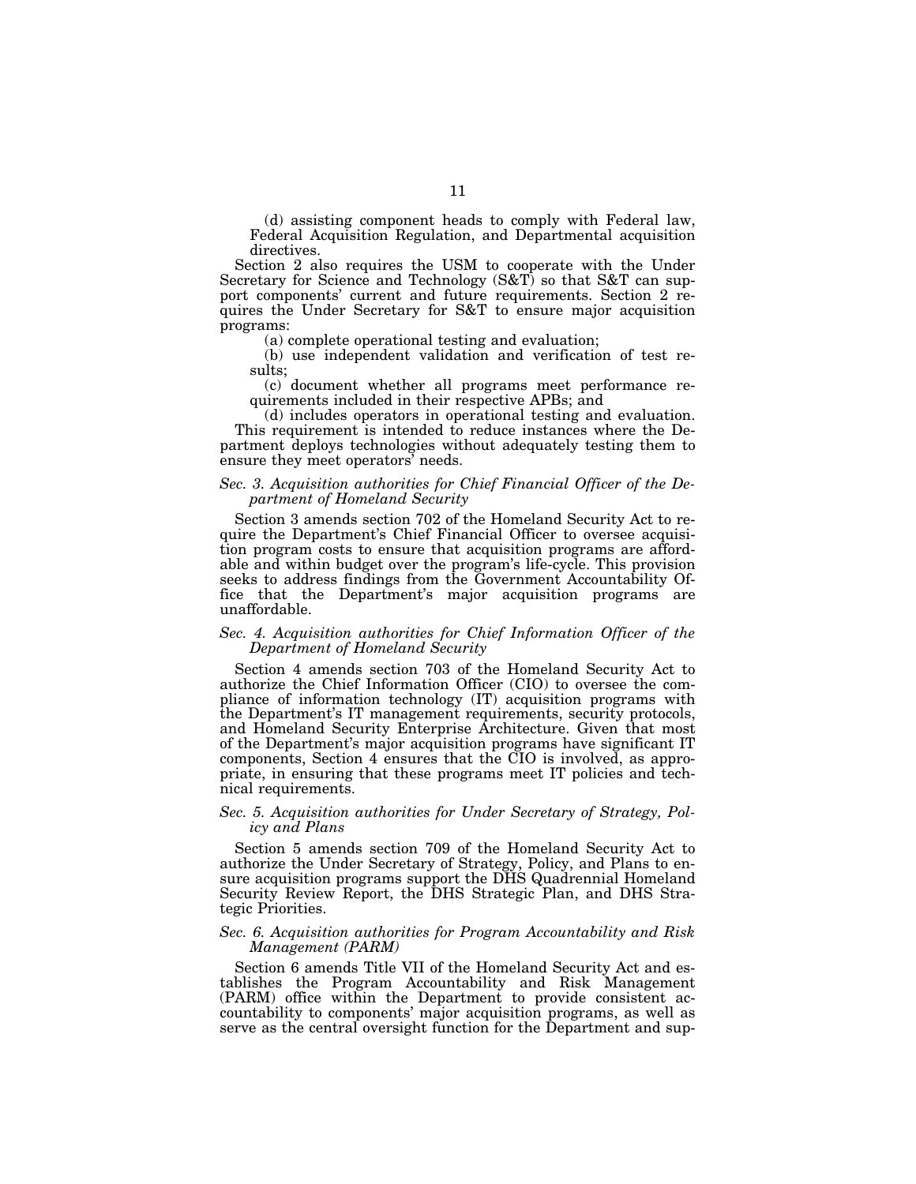(d) assisting component heads to comply with Federal law, Federal Acquisition Regulation, and Departmental acquisition directives.

Section 2 also requires the USM to cooperate with the Under Secretary for Science and Technology (S&T) so that S&T can support components' current and future requirements. Section 2 requires the Under Secretary for S&T to ensure major acquisition programs:

(a) complete operational testing and evaluation;

(b) use independent validation and verification of test results;

(c) document whether all programs meet performance requirements included in their respective APBs; and

(d) includes operators in operational testing and evaluation. This requirement is intended to reduce instances where the Department deploys technologies without adequately testing them to ensure they meet operators' needs.

## *Sec. 3. Acquisition authorities for Chief Financial Officer of the Department of Homeland Security*

Section 3 amends section 702 of the Homeland Security Act to require the Department's Chief Financial Officer to oversee acquisition program costs to ensure that acquisition programs are affordable and within budget over the program's life-cycle. This provision seeks to address findings from the Government Accountability Office that the Department's major acquisition programs are unaffordable.

## *Sec. 4. Acquisition authorities for Chief Information Officer of the Department of Homeland Security*

Section 4 amends section 703 of the Homeland Security Act to authorize the Chief Information Officer (CIO) to oversee the compliance of information technology (IT) acquisition programs with the Department's IT management requirements, security protocols, and Homeland Security Enterprise Architecture. Given that most of the Department's major acquisition programs have significant IT components, Section 4 ensures that the CIO is involved, as appropriate, in ensuring that these programs meet IT policies and technical requirements.

## *Sec. 5. Acquisition authorities for Under Secretary of Strategy, Policy and Plans*

Section 5 amends section 709 of the Homeland Security Act to authorize the Under Secretary of Strategy, Policy, and Plans to ensure acquisition programs support the DHS Quadrennial Homeland Security Review Report, the DHS Strategic Plan, and DHS Strategic Priorities.

## *Sec. 6. Acquisition authorities for Program Accountability and Risk Management (PARM)*

Section 6 amends Title VII of the Homeland Security Act and establishes the Program Accountability and Risk Management (PARM) office within the Department to provide consistent accountability to components' major acquisition programs, as well as serve as the central oversight function for the Department and sup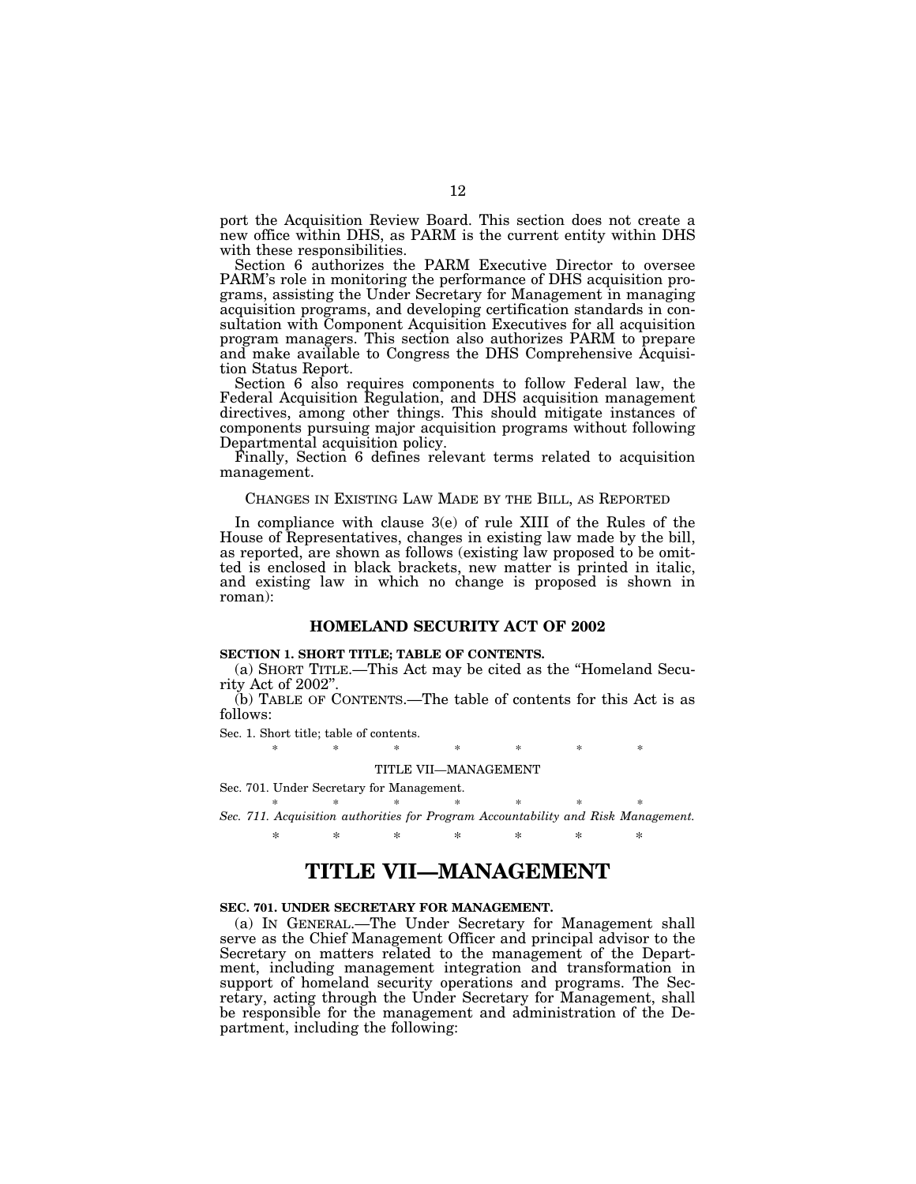port the Acquisition Review Board. This section does not create a new office within DHS, as PARM is the current entity within DHS with these responsibilities.

Section 6 authorizes the PARM Executive Director to oversee PARM's role in monitoring the performance of DHS acquisition programs, assisting the Under Secretary for Management in managing acquisition programs, and developing certification standards in consultation with Component Acquisition Executives for all acquisition program managers. This section also authorizes PARM to prepare and make available to Congress the DHS Comprehensive Acquisition Status Report.

Section 6 also requires components to follow Federal law, the Federal Acquisition Regulation, and DHS acquisition management directives, among other things. This should mitigate instances of components pursuing major acquisition programs without following Departmental acquisition policy.

Finally, Section 6 defines relevant terms related to acquisition management.

#### CHANGES IN EXISTING LAW MADE BY THE BILL, AS REPORTED

In compliance with clause 3(e) of rule XIII of the Rules of the House of Representatives, changes in existing law made by the bill, as reported, are shown as follows (existing law proposed to be omitted is enclosed in black brackets, new matter is printed in italic, and existing law in which no change is proposed is shown in roman):

## **HOMELAND SECURITY ACT OF 2002**

#### **SECTION 1. SHORT TITLE; TABLE OF CONTENTS.**

(a) SHORT TITLE.—This Act may be cited as the ''Homeland Security Act of 2002''.

(b) TABLE OF CONTENTS.—The table of contents for this Act is as follows:

Sec. 1. Short title; table of contents.

#### \* \* \* \* \* \* \* \*

### TITLE VII—MANAGEMENT

Sec. 701. Under Secretary for Management. \* \* \* \* \* \* \* \* \* \*

*Sec. 711. Acquisition authorities for Program Accountability and Risk Management.*  \* \* \* \* \* \* \*

# **TITLE VII—MANAGEMENT**

#### **SEC. 701. UNDER SECRETARY FOR MANAGEMENT.**

(a) IN GENERAL.—The Under Secretary for Management shall serve as the Chief Management Officer and principal advisor to the Secretary on matters related to the management of the Department, including management integration and transformation in support of homeland security operations and programs. The Secretary, acting through the Under Secretary for Management, shall be responsible for the management and administration of the Department, including the following: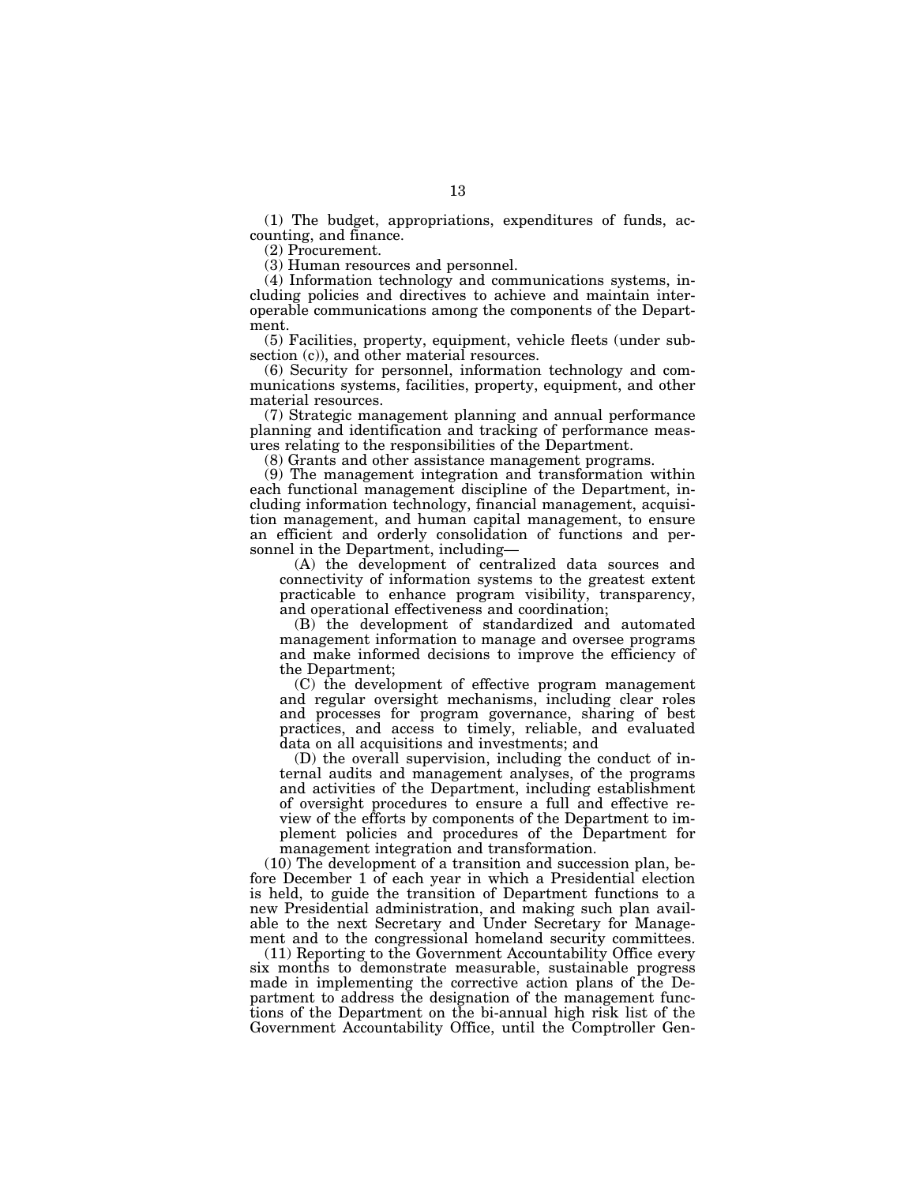(1) The budget, appropriations, expenditures of funds, accounting, and finance.

(2) Procurement.

(3) Human resources and personnel.

(4) Information technology and communications systems, including policies and directives to achieve and maintain interoperable communications among the components of the Department.

(5) Facilities, property, equipment, vehicle fleets (under subsection (c)), and other material resources.

(6) Security for personnel, information technology and communications systems, facilities, property, equipment, and other material resources.

(7) Strategic management planning and annual performance planning and identification and tracking of performance measures relating to the responsibilities of the Department.

(8) Grants and other assistance management programs.

(9) The management integration and transformation within each functional management discipline of the Department, including information technology, financial management, acquisition management, and human capital management, to ensure an efficient and orderly consolidation of functions and personnel in the Department, including—

(A) the development of centralized data sources and connectivity of information systems to the greatest extent practicable to enhance program visibility, transparency, and operational effectiveness and coordination;

(B) the development of standardized and automated management information to manage and oversee programs and make informed decisions to improve the efficiency of the Department;

(C) the development of effective program management and regular oversight mechanisms, including clear roles and processes for program governance, sharing of best practices, and access to timely, reliable, and evaluated data on all acquisitions and investments; and

(D) the overall supervision, including the conduct of internal audits and management analyses, of the programs and activities of the Department, including establishment of oversight procedures to ensure a full and effective review of the efforts by components of the Department to implement policies and procedures of the Department for management integration and transformation.

(10) The development of a transition and succession plan, before December 1 of each year in which a Presidential election is held, to guide the transition of Department functions to a new Presidential administration, and making such plan available to the next Secretary and Under Secretary for Management and to the congressional homeland security committees.

(11) Reporting to the Government Accountability Office every six months to demonstrate measurable, sustainable progress made in implementing the corrective action plans of the Department to address the designation of the management functions of the Department on the bi-annual high risk list of the Government Accountability Office, until the Comptroller Gen-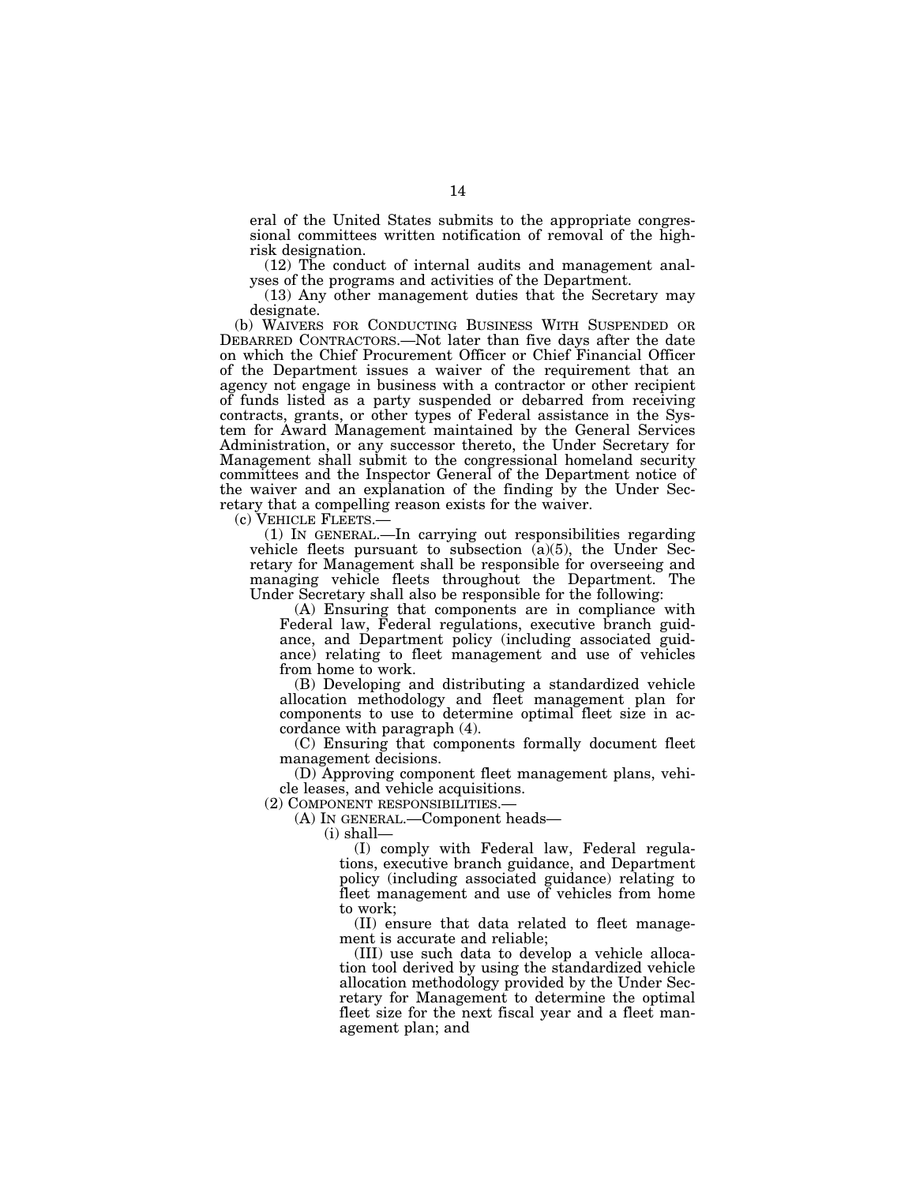eral of the United States submits to the appropriate congressional committees written notification of removal of the highrisk designation.

(12) The conduct of internal audits and management analyses of the programs and activities of the Department.

(13) Any other management duties that the Secretary may designate.

(b) WAIVERS FOR CONDUCTING BUSINESS WITH SUSPENDED OR DEBARRED CONTRACTORS.—Not later than five days after the date on which the Chief Procurement Officer or Chief Financial Officer of the Department issues a waiver of the requirement that an agency not engage in business with a contractor or other recipient of funds listed as a party suspended or debarred from receiving contracts, grants, or other types of Federal assistance in the System for Award Management maintained by the General Services Administration, or any successor thereto, the Under Secretary for Management shall submit to the congressional homeland security committees and the Inspector General of the Department notice of the waiver and an explanation of the finding by the Under Secretary that a compelling reason exists for the waiver.

(c) VEHICLE FLEETS.— (1) IN GENERAL.—In carrying out responsibilities regarding vehicle fleets pursuant to subsection  $(a)(5)$ , the Under Secretary for Management shall be responsible for overseeing and managing vehicle fleets throughout the Department. The Under Secretary shall also be responsible for the following:

(A) Ensuring that components are in compliance with Federal law, Federal regulations, executive branch guidance, and Department policy (including associated guidance) relating to fleet management and use of vehicles from home to work.

(B) Developing and distributing a standardized vehicle allocation methodology and fleet management plan for components to use to determine optimal fleet size in accordance with paragraph (4).

(C) Ensuring that components formally document fleet management decisions.

(D) Approving component fleet management plans, vehicle leases, and vehicle acquisitions.

(2) COMPONENT RESPONSIBILITIES.—

(A) IN GENERAL.—Component heads—

(i) shall—

(I) comply with Federal law, Federal regulations, executive branch guidance, and Department policy (including associated guidance) relating to fleet management and use of vehicles from home to work;

(II) ensure that data related to fleet management is accurate and reliable;

(III) use such data to develop a vehicle allocation tool derived by using the standardized vehicle allocation methodology provided by the Under Secretary for Management to determine the optimal fleet size for the next fiscal year and a fleet management plan; and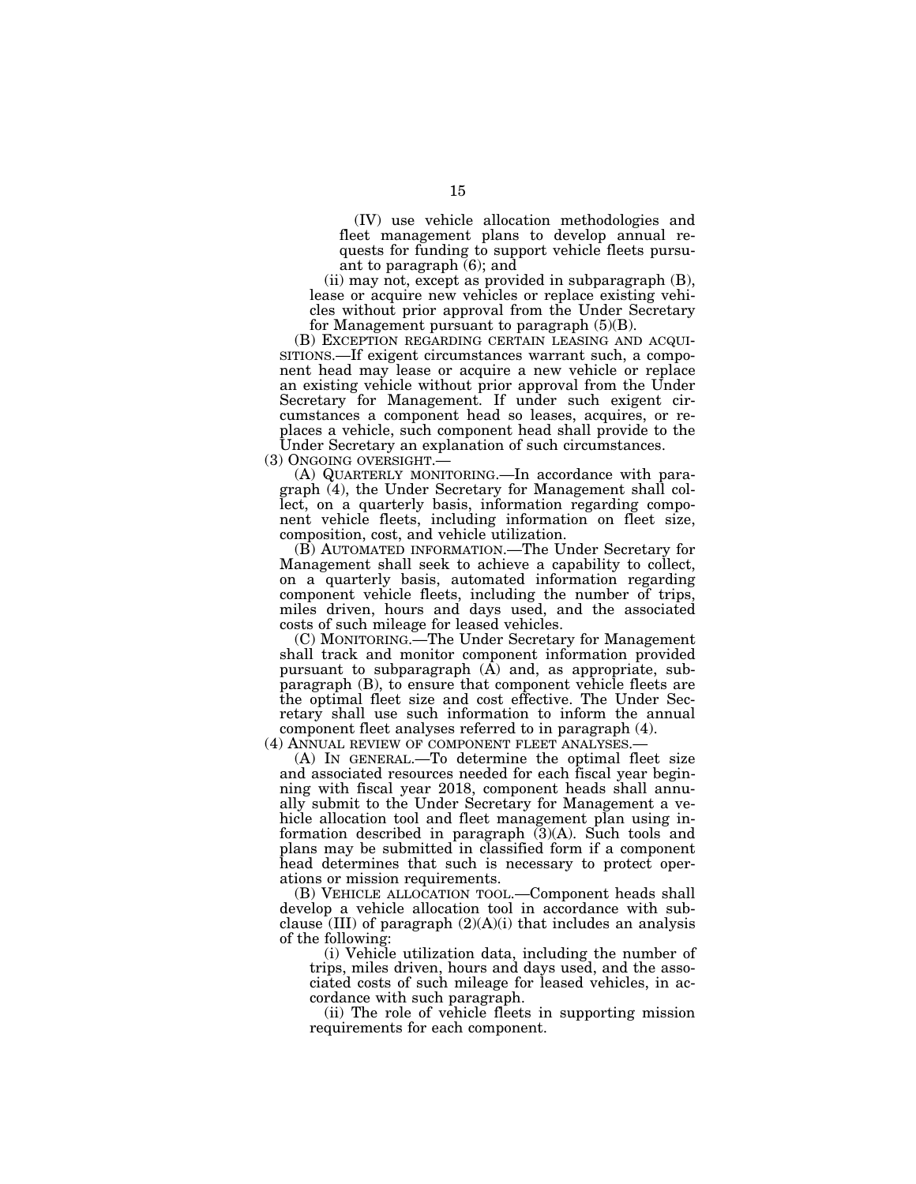(IV) use vehicle allocation methodologies and fleet management plans to develop annual requests for funding to support vehicle fleets pursuant to paragraph  $(6)$ ; and

(ii) may not, except as provided in subparagraph (B), lease or acquire new vehicles or replace existing vehicles without prior approval from the Under Secretary for Management pursuant to paragraph (5)(B).

(B) EXCEPTION REGARDING CERTAIN LEASING AND ACQUI- SITIONS.—If exigent circumstances warrant such, a component head may lease or acquire a new vehicle or replace an existing vehicle without prior approval from the Under Secretary for Management. If under such exigent circumstances a component head so leases, acquires, or replaces a vehicle, such component head shall provide to the Under Secretary an explanation of such circumstances.

(3) ONGOING OVERSIGHT.— (A) QUARTERLY MONITORING.—In accordance with paragraph (4), the Under Secretary for Management shall collect, on a quarterly basis, information regarding component vehicle fleets, including information on fleet size, composition, cost, and vehicle utilization.

(B) AUTOMATED INFORMATION.—The Under Secretary for Management shall seek to achieve a capability to collect, on a quarterly basis, automated information regarding component vehicle fleets, including the number of trips, miles driven, hours and days used, and the associated costs of such mileage for leased vehicles.

(C) MONITORING.—The Under Secretary for Management shall track and monitor component information provided pursuant to subparagraph  $(\hat{A})$  and, as appropriate, subparagraph (B), to ensure that component vehicle fleets are the optimal fleet size and cost effective. The Under Secretary shall use such information to inform the annual component fleet analyses referred to in paragraph (4).

(4) ANNUAL REVIEW OF COMPONENT FLEET ANALYSES.— (A) IN GENERAL.—To determine the optimal fleet size and associated resources needed for each fiscal year beginning with fiscal year 2018, component heads shall annually submit to the Under Secretary for Management a vehicle allocation tool and fleet management plan using information described in paragraph (3)(A). Such tools and plans may be submitted in classified form if a component head determines that such is necessary to protect operations or mission requirements.

(B) VEHICLE ALLOCATION TOOL.—Component heads shall develop a vehicle allocation tool in accordance with subclause (III) of paragraph  $(2)(A)(i)$  that includes an analysis of the following:

(i) Vehicle utilization data, including the number of trips, miles driven, hours and days used, and the associated costs of such mileage for leased vehicles, in accordance with such paragraph.

(ii) The role of vehicle fleets in supporting mission requirements for each component.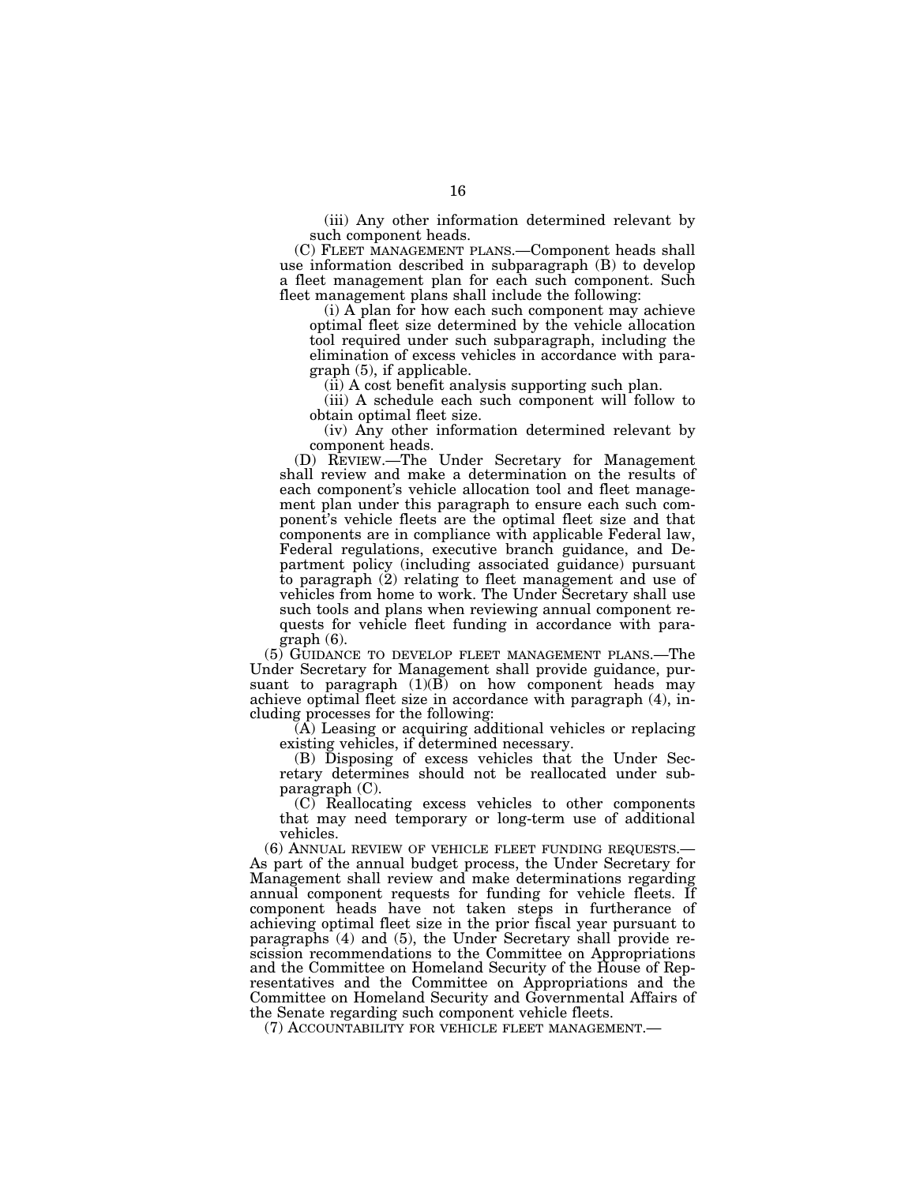(iii) Any other information determined relevant by such component heads.

(C) FLEET MANAGEMENT PLANS.—Component heads shall use information described in subparagraph (B) to develop a fleet management plan for each such component. Such fleet management plans shall include the following:

(i) A plan for how each such component may achieve optimal fleet size determined by the vehicle allocation tool required under such subparagraph, including the elimination of excess vehicles in accordance with paragraph (5), if applicable.

(ii) A cost benefit analysis supporting such plan.

(iii) A schedule each such component will follow to obtain optimal fleet size.

(iv) Any other information determined relevant by component heads.

(D) REVIEW.—The Under Secretary for Management shall review and make a determination on the results of each component's vehicle allocation tool and fleet management plan under this paragraph to ensure each such component's vehicle fleets are the optimal fleet size and that components are in compliance with applicable Federal law, Federal regulations, executive branch guidance, and Department policy (including associated guidance) pursuant to paragraph (2) relating to fleet management and use of vehicles from home to work. The Under Secretary shall use such tools and plans when reviewing annual component requests for vehicle fleet funding in accordance with paragraph (6).

(5) GUIDANCE TO DEVELOP FLEET MANAGEMENT PLANS.—The Under Secretary for Management shall provide guidance, pursuant to paragraph  $(1)(\overrightarrow{B})$  on how component heads may achieve optimal fleet size in accordance with paragraph (4), including processes for the following:

(A) Leasing or acquiring additional vehicles or replacing existing vehicles, if determined necessary.

(B) Disposing of excess vehicles that the Under Secretary determines should not be reallocated under subparagraph (C).

(C) Reallocating excess vehicles to other components that may need temporary or long-term use of additional vehicles.

(6) ANNUAL REVIEW OF VEHICLE FLEET FUNDING REQUESTS.— As part of the annual budget process, the Under Secretary for Management shall review and make determinations regarding annual component requests for funding for vehicle fleets. If component heads have not taken steps in furtherance of achieving optimal fleet size in the prior fiscal year pursuant to paragraphs (4) and (5), the Under Secretary shall provide rescission recommendations to the Committee on Appropriations and the Committee on Homeland Security of the House of Representatives and the Committee on Appropriations and the Committee on Homeland Security and Governmental Affairs of the Senate regarding such component vehicle fleets.

(7) ACCOUNTABILITY FOR VEHICLE FLEET MANAGEMENT.—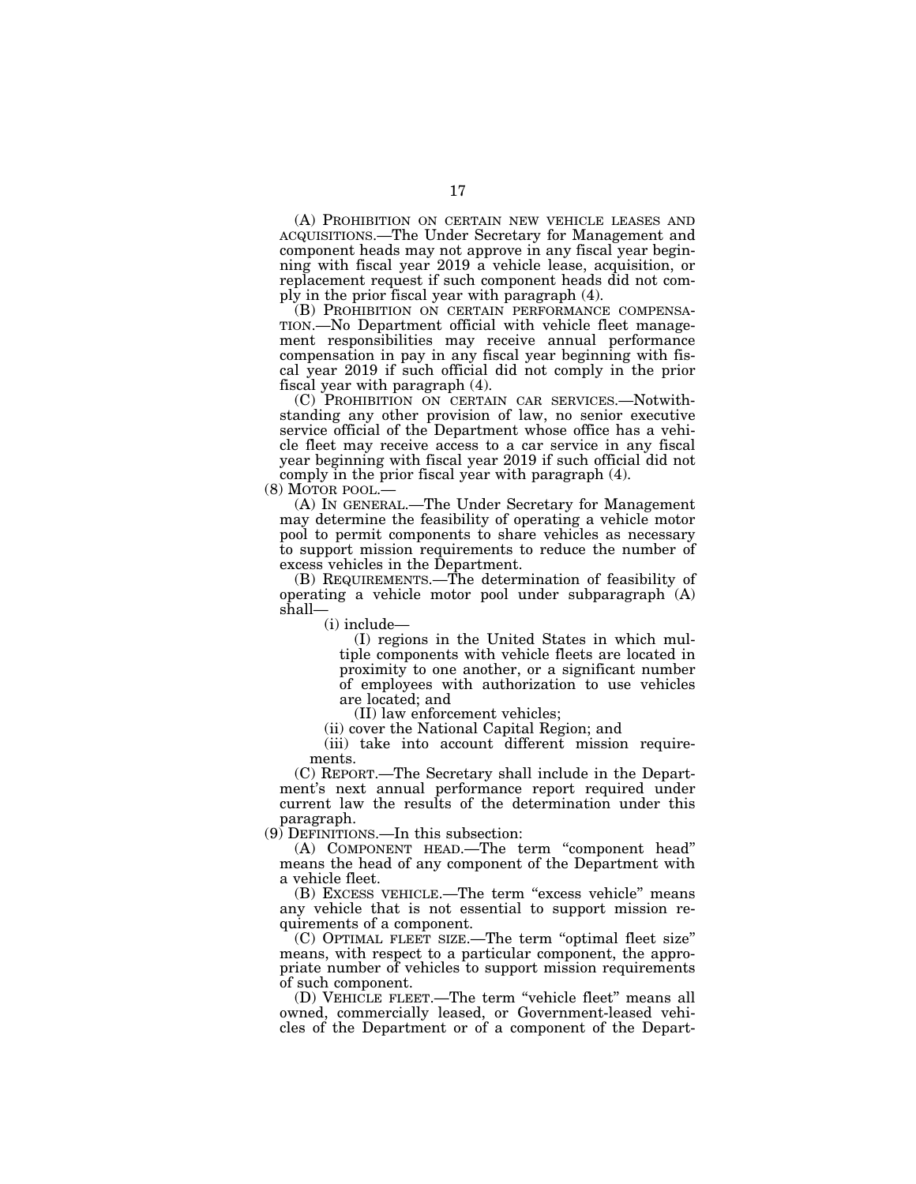(A) PROHIBITION ON CERTAIN NEW VEHICLE LEASES AND ACQUISITIONS.—The Under Secretary for Management and component heads may not approve in any fiscal year beginning with fiscal year 2019 a vehicle lease, acquisition, or replacement request if such component heads did not comply in the prior fiscal year with paragraph (4).

(B) PROHIBITION ON CERTAIN PERFORMANCE COMPENSA- TION.—No Department official with vehicle fleet management responsibilities may receive annual performance compensation in pay in any fiscal year beginning with fiscal year 2019 if such official did not comply in the prior fiscal year with paragraph (4).

(C) PROHIBITION ON CERTAIN CAR SERVICES.—Notwithstanding any other provision of law, no senior executive service official of the Department whose office has a vehicle fleet may receive access to a car service in any fiscal year beginning with fiscal year 2019 if such official did not comply in the prior fiscal year with paragraph (4).

(8) MOTOR POOL.— (A) IN GENERAL.—The Under Secretary for Management may determine the feasibility of operating a vehicle motor pool to permit components to share vehicles as necessary to support mission requirements to reduce the number of excess vehicles in the Department.

(B) REQUIREMENTS.—The determination of feasibility of operating a vehicle motor pool under subparagraph (A) shall—

(i) include—

(I) regions in the United States in which multiple components with vehicle fleets are located in proximity to one another, or a significant number of employees with authorization to use vehicles are located; and

(II) law enforcement vehicles;

(ii) cover the National Capital Region; and

(iii) take into account different mission requirements.

(C) REPORT.—The Secretary shall include in the Department's next annual performance report required under current law the results of the determination under this paragraph.

(9) DEFINITIONS.—In this subsection:

(A) COMPONENT HEAD.—The term ''component head'' means the head of any component of the Department with a vehicle fleet.

(B) EXCESS VEHICLE.—The term ''excess vehicle'' means any vehicle that is not essential to support mission requirements of a component.

(C) OPTIMAL FLEET SIZE.—The term ''optimal fleet size'' means, with respect to a particular component, the appropriate number of vehicles to support mission requirements of such component.

(D) VEHICLE FLEET.—The term ''vehicle fleet'' means all owned, commercially leased, or Government-leased vehicles of the Department or of a component of the Depart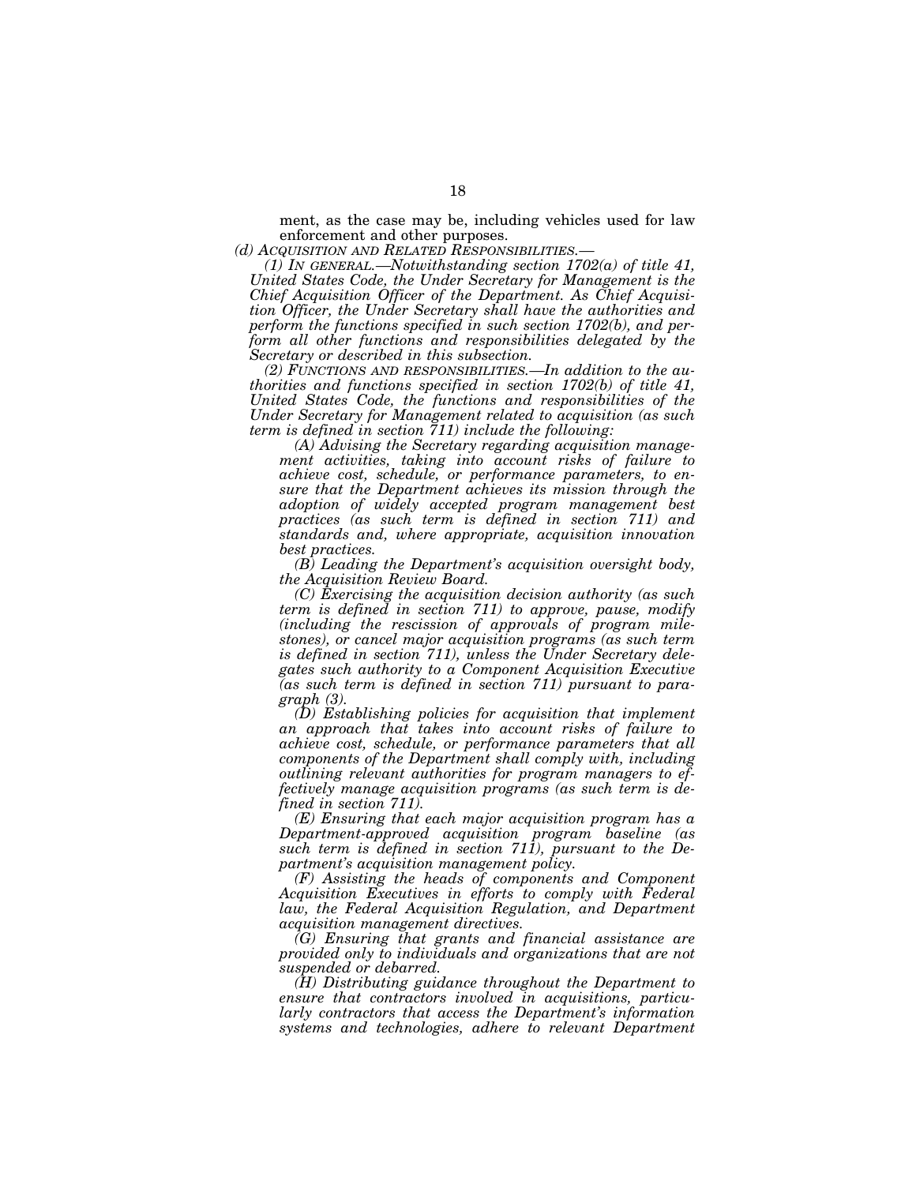ment, as the case may be, including vehicles used for law enforcement and other purposes.

*(d) ACQUISITION AND RELATED RESPONSIBILITIES.— (1) IN GENERAL.—Notwithstanding section 1702(a) of title 41, United States Code, the Under Secretary for Management is the Chief Acquisition Officer of the Department. As Chief Acquisition Officer, the Under Secretary shall have the authorities and perform the functions specified in such section 1702(b), and perform all other functions and responsibilities delegated by the Secretary or described in this subsection.* 

*(2) FUNCTIONS AND RESPONSIBILITIES.—In addition to the authorities and functions specified in section 1702(b) of title 41, United States Code, the functions and responsibilities of the Under Secretary for Management related to acquisition (as such term is defined in section 711) include the following:* 

*(A) Advising the Secretary regarding acquisition management activities, taking into account risks of failure to achieve cost, schedule, or performance parameters, to ensure that the Department achieves its mission through the adoption of widely accepted program management best practices (as such term is defined in section 711) and standards and, where appropriate, acquisition innovation best practices.* 

*(B) Leading the Department's acquisition oversight body, the Acquisition Review Board.* 

*(C) Exercising the acquisition decision authority (as such term is defined in section 711) to approve, pause, modify (including the rescission of approvals of program milestones), or cancel major acquisition programs (as such term is defined in section 711), unless the Under Secretary delegates such authority to a Component Acquisition Executive (as such term is defined in section 711) pursuant to paragraph (3).* 

*(D) Establishing policies for acquisition that implement an approach that takes into account risks of failure to achieve cost, schedule, or performance parameters that all components of the Department shall comply with, including outlining relevant authorities for program managers to effectively manage acquisition programs (as such term is defined in section 711).* 

*(E) Ensuring that each major acquisition program has a Department-approved acquisition program baseline (as such term is defined in section 711), pursuant to the Department's acquisition management policy.* 

*(F) Assisting the heads of components and Component Acquisition Executives in efforts to comply with Federal law, the Federal Acquisition Regulation, and Department acquisition management directives.* 

*(G) Ensuring that grants and financial assistance are provided only to individuals and organizations that are not suspended or debarred.* 

*(H) Distributing guidance throughout the Department to ensure that contractors involved in acquisitions, particularly contractors that access the Department's information systems and technologies, adhere to relevant Department*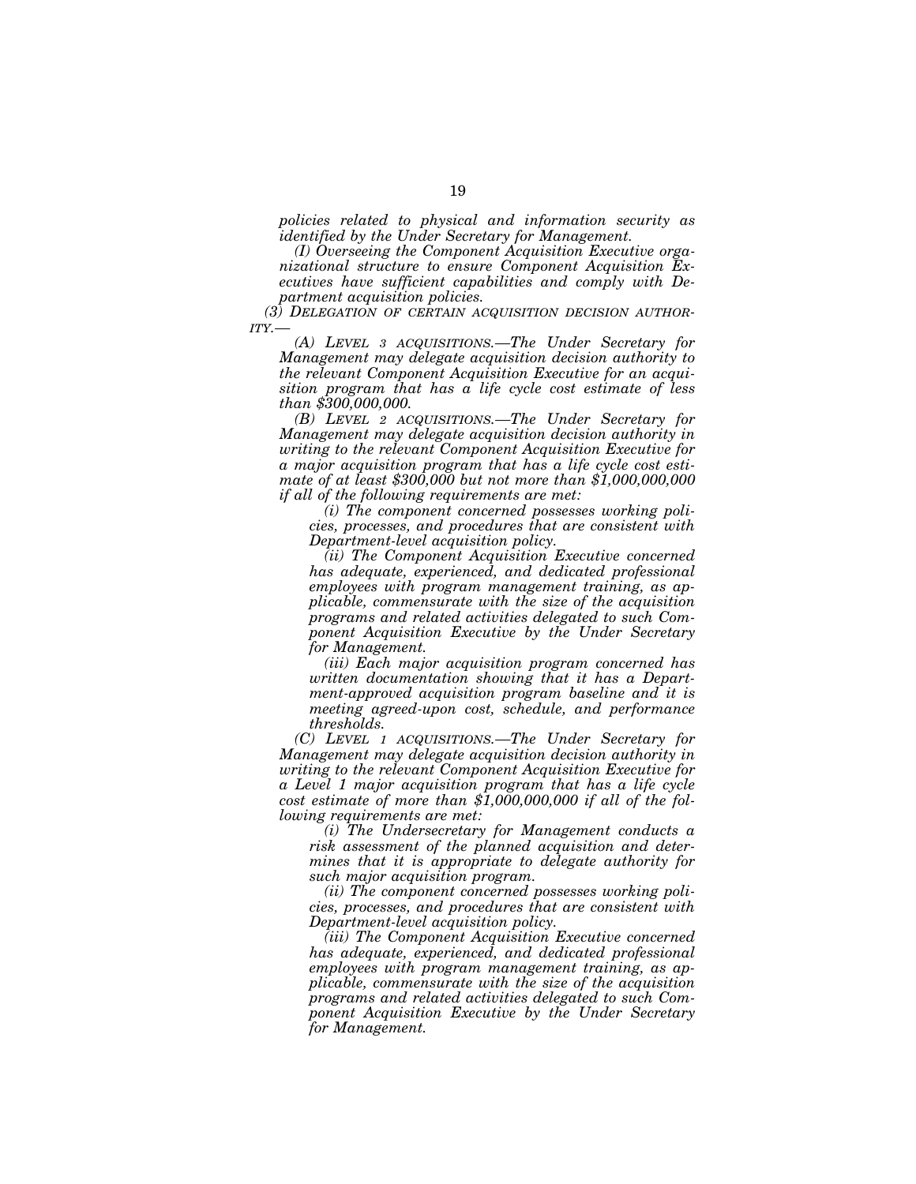*policies related to physical and information security as identified by the Under Secretary for Management.* 

*(I) Overseeing the Component Acquisition Executive organizational structure to ensure Component Acquisition Executives have sufficient capabilities and comply with Department acquisition policies.* 

*(3) DELEGATION OF CERTAIN ACQUISITION DECISION AUTHOR-ITY.—* 

*(A) LEVEL 3 ACQUISITIONS.—The Under Secretary for Management may delegate acquisition decision authority to the relevant Component Acquisition Executive for an acquisition program that has a life cycle cost estimate of less than \$300,000,000.* 

*(B) LEVEL 2 ACQUISITIONS.—The Under Secretary for Management may delegate acquisition decision authority in writing to the relevant Component Acquisition Executive for a major acquisition program that has a life cycle cost estimate of at least \$300,000 but not more than \$1,000,000,000 if all of the following requirements are met:* 

*(i) The component concerned possesses working policies, processes, and procedures that are consistent with Department-level acquisition policy.* 

*(ii) The Component Acquisition Executive concerned has adequate, experienced, and dedicated professional employees with program management training, as applicable, commensurate with the size of the acquisition programs and related activities delegated to such Component Acquisition Executive by the Under Secretary for Management.* 

*(iii) Each major acquisition program concerned has written documentation showing that it has a Department-approved acquisition program baseline and it is meeting agreed-upon cost, schedule, and performance thresholds.* 

*(C) LEVEL 1 ACQUISITIONS.—The Under Secretary for Management may delegate acquisition decision authority in writing to the relevant Component Acquisition Executive for a Level 1 major acquisition program that has a life cycle cost estimate of more than \$1,000,000,000 if all of the following requirements are met:* 

*(i) The Undersecretary for Management conducts a risk assessment of the planned acquisition and determines that it is appropriate to delegate authority for such major acquisition program.* 

*(ii) The component concerned possesses working policies, processes, and procedures that are consistent with Department-level acquisition policy.* 

*(iii) The Component Acquisition Executive concerned has adequate, experienced, and dedicated professional employees with program management training, as applicable, commensurate with the size of the acquisition programs and related activities delegated to such Component Acquisition Executive by the Under Secretary for Management.*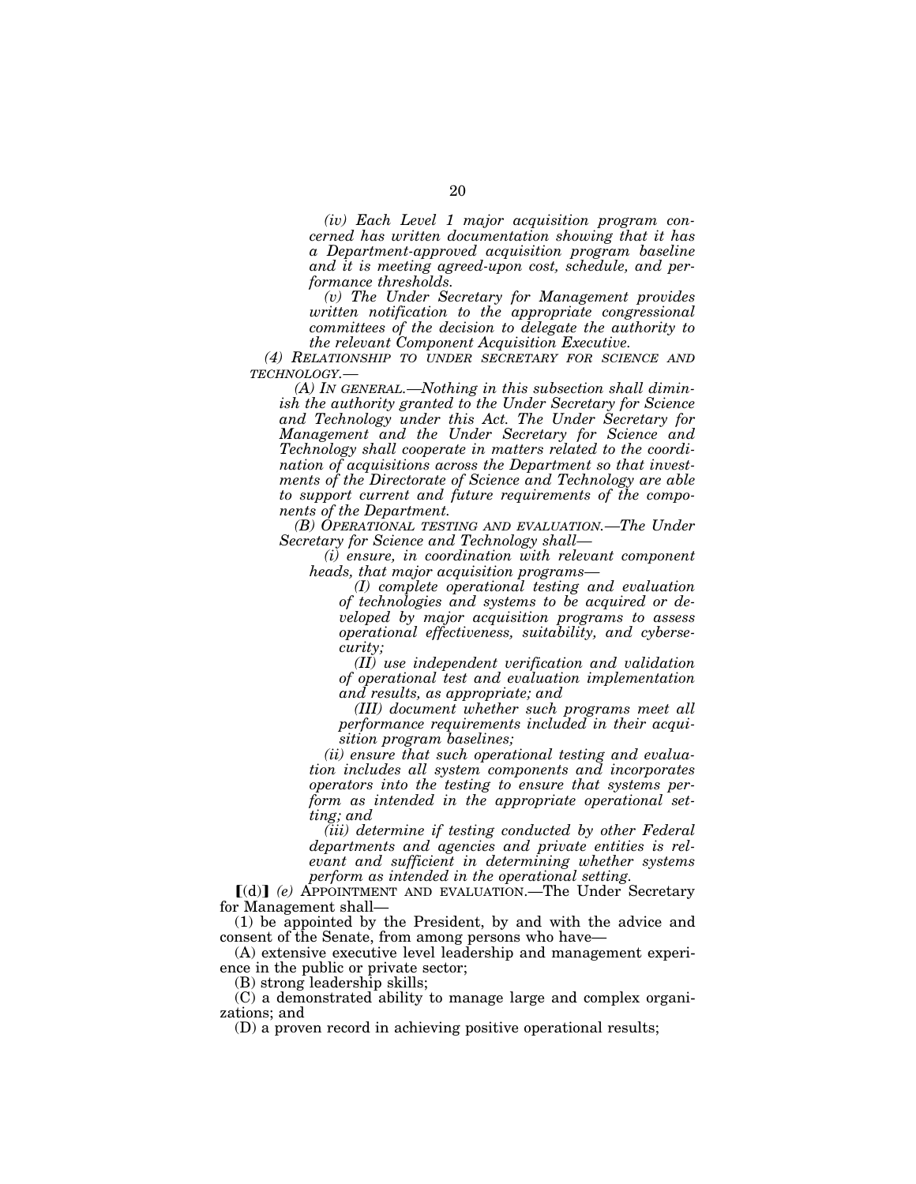*(iv) Each Level 1 major acquisition program concerned has written documentation showing that it has a Department-approved acquisition program baseline and it is meeting agreed-upon cost, schedule, and performance thresholds.* 

*(v) The Under Secretary for Management provides written notification to the appropriate congressional committees of the decision to delegate the authority to the relevant Component Acquisition Executive.* 

*(4) RELATIONSHIP TO UNDER SECRETARY FOR SCIENCE AND TECHNOLOGY.—* 

*(A) IN GENERAL.—Nothing in this subsection shall diminish the authority granted to the Under Secretary for Science and Technology under this Act. The Under Secretary for Management and the Under Secretary for Science and Technology shall cooperate in matters related to the coordination of acquisitions across the Department so that investments of the Directorate of Science and Technology are able to support current and future requirements of the components of the Department.* 

*(B) OPERATIONAL TESTING AND EVALUATION.—The Under Secretary for Science and Technology shall—* 

*(i) ensure, in coordination with relevant component heads, that major acquisition programs—* 

*(I) complete operational testing and evaluation of technologies and systems to be acquired or developed by major acquisition programs to assess operational effectiveness, suitability, and cybersecurity;* 

*(II) use independent verification and validation of operational test and evaluation implementation and results, as appropriate; and* 

*(III) document whether such programs meet all performance requirements included in their acquisition program baselines;* 

*(ii) ensure that such operational testing and evaluation includes all system components and incorporates operators into the testing to ensure that systems perform as intended in the appropriate operational setting; and* 

*(iii) determine if testing conducted by other Federal departments and agencies and private entities is relevant and sufficient in determining whether systems perform as intended in the operational setting.* 

ø(d)¿ *(e)* APPOINTMENT AND EVALUATION.—The Under Secretary for Management shall—

(1) be appointed by the President, by and with the advice and consent of the Senate, from among persons who have—

(A) extensive executive level leadership and management experience in the public or private sector;

(B) strong leadership skills;

(C) a demonstrated ability to manage large and complex organizations; and

(D) a proven record in achieving positive operational results;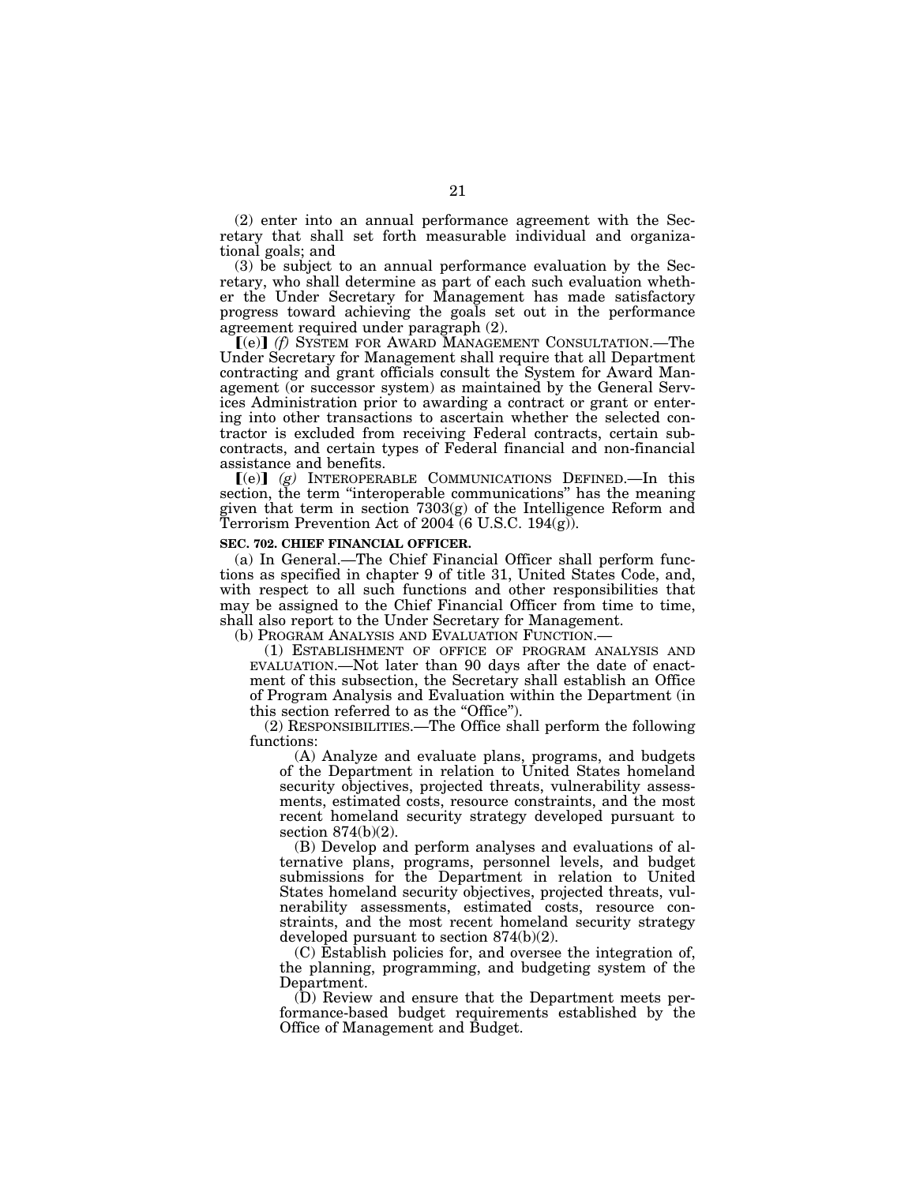(2) enter into an annual performance agreement with the Secretary that shall set forth measurable individual and organizational goals; and

(3) be subject to an annual performance evaluation by the Secretary, who shall determine as part of each such evaluation whether the Under Secretary for Management has made satisfactory progress toward achieving the goals set out in the performance agreement required under paragraph (2).

**[(e)]** (f) SYSTEM FOR AWARD MANAGEMENT CONSULTATION.—The Under Secretary for Management shall require that all Department contracting and grant officials consult the System for Award Management (or successor system) as maintained by the General Services Administration prior to awarding a contract or grant or entering into other transactions to ascertain whether the selected contractor is excluded from receiving Federal contracts, certain subcontracts, and certain types of Federal financial and non-financial assistance and benefits.

 $[(e)]$   $(g)$  INTEROPERABLE COMMUNICATIONS DEFINED. In this section, the term ''interoperable communications'' has the meaning given that term in section 7303(g) of the Intelligence Reform and Terrorism Prevention Act of 2004 (6 U.S.C.  $194(g)$ ).

#### **SEC. 702. CHIEF FINANCIAL OFFICER.**

(a) In General.—The Chief Financial Officer shall perform functions as specified in chapter 9 of title 31, United States Code, and, with respect to all such functions and other responsibilities that may be assigned to the Chief Financial Officer from time to time, shall also report to the Under Secretary for Management.

(b) PROGRAM ANALYSIS AND EVALUATION FUNCTION.—

(1) ESTABLISHMENT OF OFFICE OF PROGRAM ANALYSIS AND EVALUATION.—Not later than 90 days after the date of enactment of this subsection, the Secretary shall establish an Office of Program Analysis and Evaluation within the Department (in this section referred to as the ''Office'').

(2) RESPONSIBILITIES.—The Office shall perform the following functions:

(A) Analyze and evaluate plans, programs, and budgets of the Department in relation to United States homeland security objectives, projected threats, vulnerability assessments, estimated costs, resource constraints, and the most recent homeland security strategy developed pursuant to section 874(b)(2).

(B) Develop and perform analyses and evaluations of alternative plans, programs, personnel levels, and budget submissions for the Department in relation to United States homeland security objectives, projected threats, vulnerability assessments, estimated costs, resource constraints, and the most recent homeland security strategy developed pursuant to section 874(b)(2).

(C) Establish policies for, and oversee the integration of, the planning, programming, and budgeting system of the Department.

(D) Review and ensure that the Department meets performance-based budget requirements established by the Office of Management and Budget.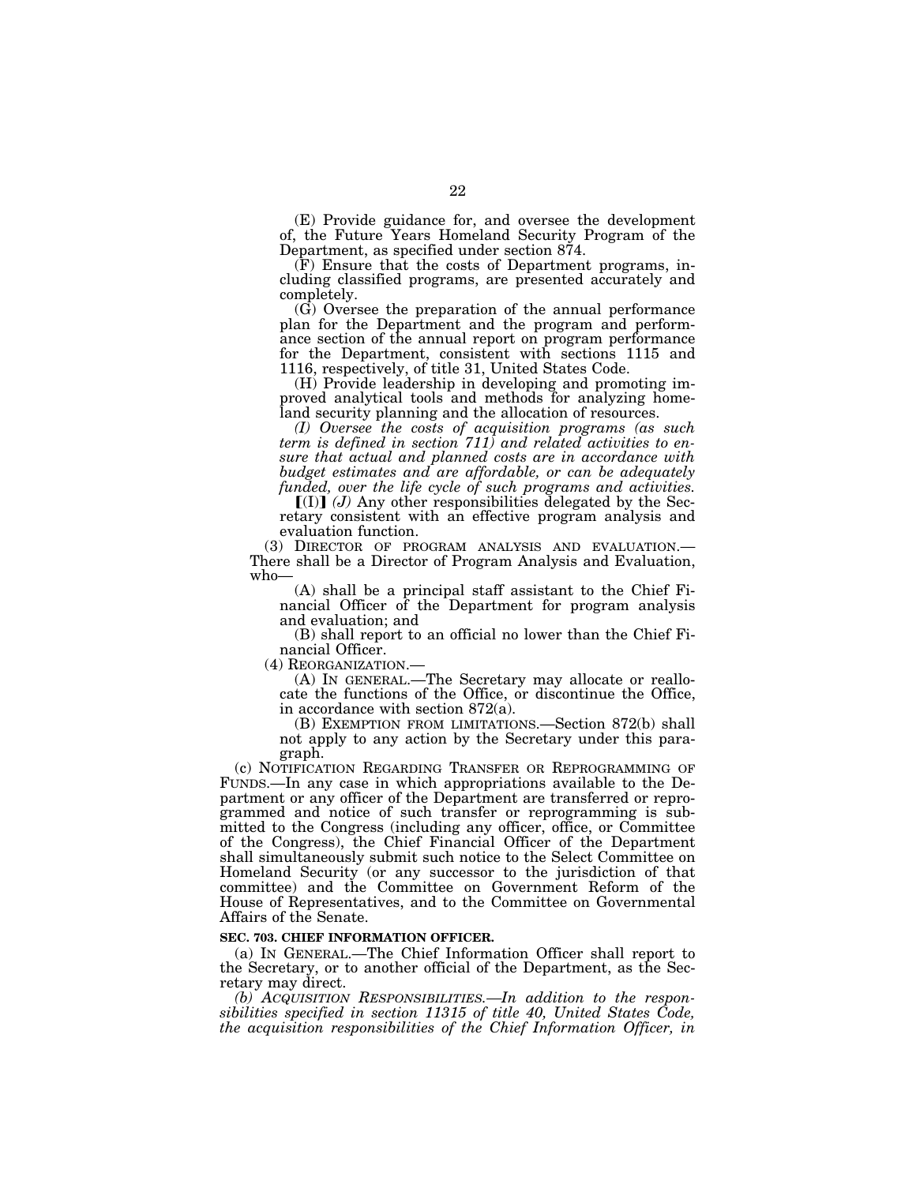(E) Provide guidance for, and oversee the development of, the Future Years Homeland Security Program of the Department, as specified under section 874.

(F) Ensure that the costs of Department programs, including classified programs, are presented accurately and completely.

(G) Oversee the preparation of the annual performance plan for the Department and the program and performance section of the annual report on program performance for the Department, consistent with sections 1115 and 1116, respectively, of title 31, United States Code.

(H) Provide leadership in developing and promoting improved analytical tools and methods for analyzing homeland security planning and the allocation of resources.

*(I) Oversee the costs of acquisition programs (as such term is defined in section 711) and related activities to ensure that actual and planned costs are in accordance with budget estimates and are affordable, or can be adequately funded, over the life cycle of such programs and activities.* 

 $\left[\text{(I)}\right]$  (*J*) Any other responsibilities delegated by the Secretary consistent with an effective program analysis and evaluation function.

(3) DIRECTOR OF PROGRAM ANALYSIS AND EVALUATION.— There shall be a Director of Program Analysis and Evaluation, who—

(A) shall be a principal staff assistant to the Chief Financial Officer of the Department for program analysis and evaluation; and

(B) shall report to an official no lower than the Chief Financial Officer.<br>(4) REORGANIZATION.

(A) IN GENERAL.—The Secretary may allocate or reallocate the functions of the Office, or discontinue the Office, in accordance with section 872(a).

(B) EXEMPTION FROM LIMITATIONS.—Section 872(b) shall not apply to any action by the Secretary under this paragraph.

(c) NOTIFICATION REGARDING TRANSFER OR REPROGRAMMING OF FUNDS.—In any case in which appropriations available to the Department or any officer of the Department are transferred or reprogrammed and notice of such transfer or reprogramming is submitted to the Congress (including any officer, office, or Committee of the Congress), the Chief Financial Officer of the Department shall simultaneously submit such notice to the Select Committee on Homeland Security (or any successor to the jurisdiction of that committee) and the Committee on Government Reform of the House of Representatives, and to the Committee on Governmental Affairs of the Senate.

## **SEC. 703. CHIEF INFORMATION OFFICER.**

(a) IN GENERAL.—The Chief Information Officer shall report to the Secretary, or to another official of the Department, as the Secretary may direct.

*(b) ACQUISITION RESPONSIBILITIES.—In addition to the responsibilities specified in section 11315 of title 40, United States Code, the acquisition responsibilities of the Chief Information Officer, in*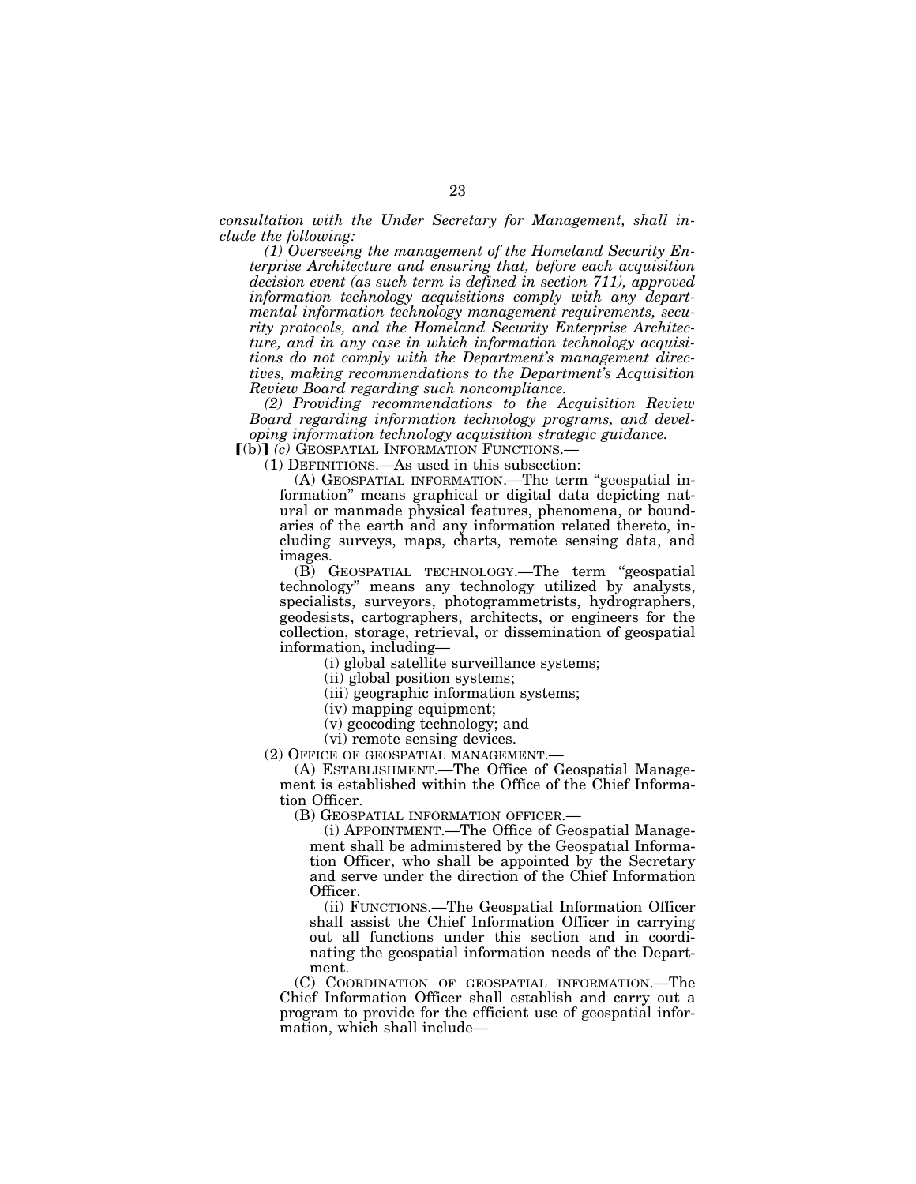*consultation with the Under Secretary for Management, shall include the following:* 

*(1) Overseeing the management of the Homeland Security Enterprise Architecture and ensuring that, before each acquisition decision event (as such term is defined in section 711), approved information technology acquisitions comply with any departmental information technology management requirements, security protocols, and the Homeland Security Enterprise Architecture, and in any case in which information technology acquisitions do not comply with the Department's management directives, making recommendations to the Department's Acquisition Review Board regarding such noncompliance.* 

*(2) Providing recommendations to the Acquisition Review Board regarding information technology programs, and developing information technology acquisition strategic guidance.* 

[(b)] *(c)* GEOSPATIAL INFORMATION FUNCTIONS.—

(1) DEFINITIONS.—As used in this subsection:

(A) GEOSPATIAL INFORMATION.—The term ''geospatial information'' means graphical or digital data depicting natural or manmade physical features, phenomena, or boundaries of the earth and any information related thereto, including surveys, maps, charts, remote sensing data, and images.

(B) GEOSPATIAL TECHNOLOGY.—The term ''geospatial technology'' means any technology utilized by analysts, specialists, surveyors, photogrammetrists, hydrographers, geodesists, cartographers, architects, or engineers for the collection, storage, retrieval, or dissemination of geospatial information, including—

(i) global satellite surveillance systems;

(ii) global position systems;

(iii) geographic information systems;

(iv) mapping equipment;

(v) geocoding technology; and

(vi) remote sensing devices.

(2) OFFICE OF GEOSPATIAL MANAGEMENT.—

(A) ESTABLISHMENT.—The Office of Geospatial Management is established within the Office of the Chief Information Officer.

(B) GEOSPATIAL INFORMATION OFFICER.—

(i) APPOINTMENT.—The Office of Geospatial Management shall be administered by the Geospatial Information Officer, who shall be appointed by the Secretary and serve under the direction of the Chief Information Officer.

(ii) FUNCTIONS.—The Geospatial Information Officer shall assist the Chief Information Officer in carrying out all functions under this section and in coordinating the geospatial information needs of the Department.

(C) COORDINATION OF GEOSPATIAL INFORMATION.—The Chief Information Officer shall establish and carry out a program to provide for the efficient use of geospatial information, which shall include—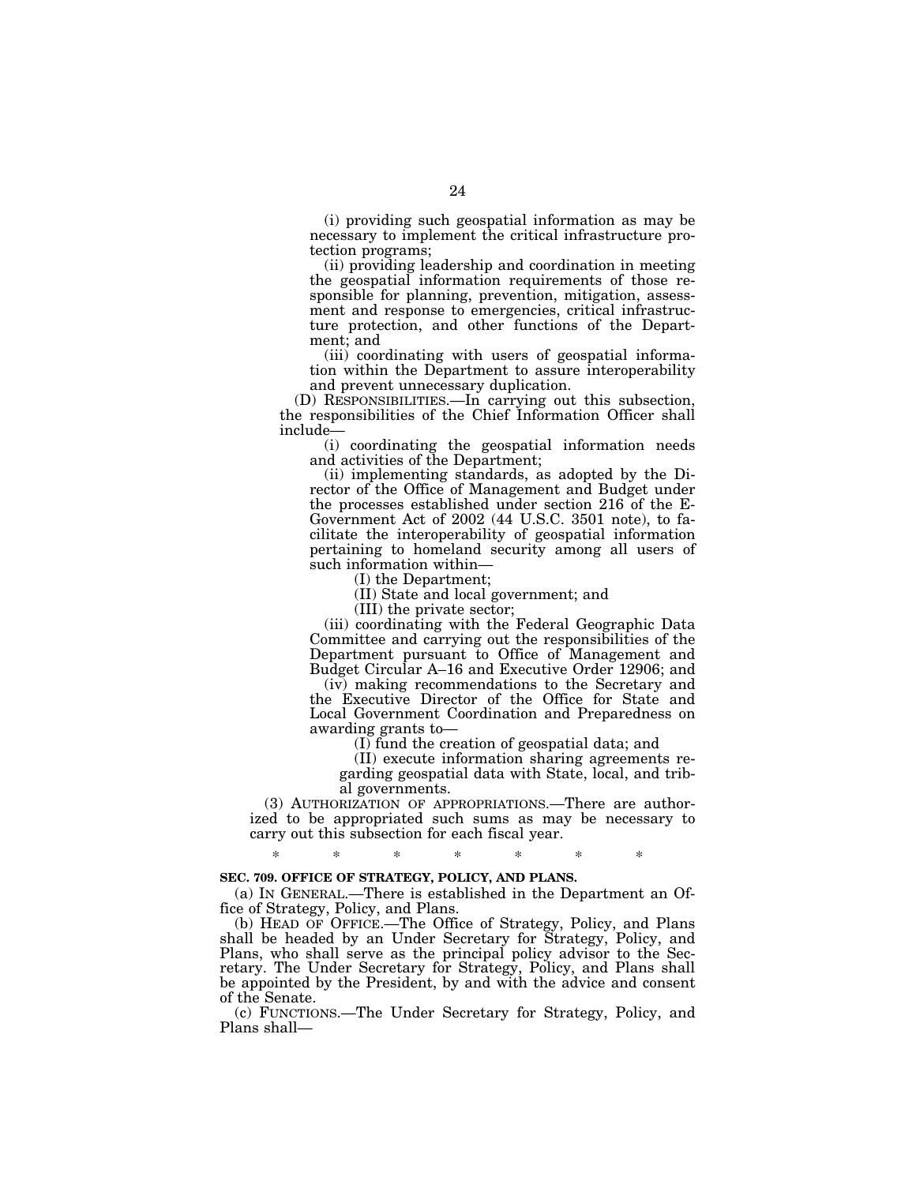(i) providing such geospatial information as may be necessary to implement the critical infrastructure protection programs;

(ii) providing leadership and coordination in meeting the geospatial information requirements of those responsible for planning, prevention, mitigation, assessment and response to emergencies, critical infrastructure protection, and other functions of the Department; and

(iii) coordinating with users of geospatial information within the Department to assure interoperability and prevent unnecessary duplication.

(D) RESPONSIBILITIES.—In carrying out this subsection, the responsibilities of the Chief Information Officer shall include—

(i) coordinating the geospatial information needs and activities of the Department;

(ii) implementing standards, as adopted by the Director of the Office of Management and Budget under the processes established under section 216 of the E-Government Act of 2002 (44 U.S.C. 3501 note), to facilitate the interoperability of geospatial information pertaining to homeland security among all users of such information within—

(I) the Department;

(II) State and local government; and

(III) the private sector;

(iii) coordinating with the Federal Geographic Data Committee and carrying out the responsibilities of the Department pursuant to Office of Management and Budget Circular A–16 and Executive Order 12906; and

(iv) making recommendations to the Secretary and the Executive Director of the Office for State and Local Government Coordination and Preparedness on awarding grants to—

(I) fund the creation of geospatial data; and

(II) execute information sharing agreements regarding geospatial data with State, local, and tribal governments.

(3) AUTHORIZATION OF APPROPRIATIONS.—There are authorized to be appropriated such sums as may be necessary to carry out this subsection for each fiscal year.

# \* \* \* \* \* \* \*

## **SEC. 709. OFFICE OF STRATEGY, POLICY, AND PLANS.**

(a) IN GENERAL.—There is established in the Department an Office of Strategy, Policy, and Plans.

(b) HEAD OF OFFICE.—The Office of Strategy, Policy, and Plans shall be headed by an Under Secretary for Strategy, Policy, and Plans, who shall serve as the principal policy advisor to the Secretary. The Under Secretary for Strategy, Policy, and Plans shall be appointed by the President, by and with the advice and consent of the Senate.

(c) FUNCTIONS.—The Under Secretary for Strategy, Policy, and Plans shall—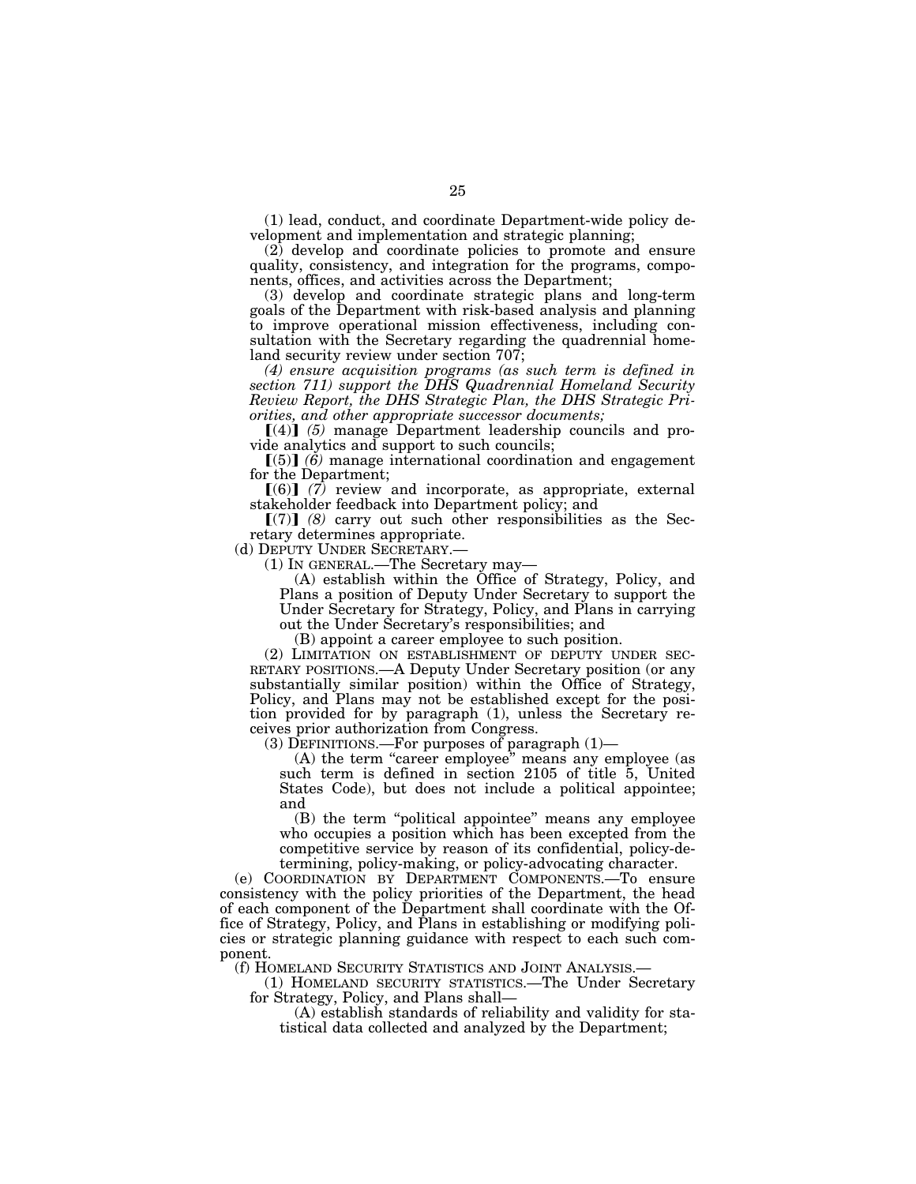(1) lead, conduct, and coordinate Department-wide policy development and implementation and strategic planning;

(2) develop and coordinate policies to promote and ensure quality, consistency, and integration for the programs, components, offices, and activities across the Department;

(3) develop and coordinate strategic plans and long-term goals of the Department with risk-based analysis and planning to improve operational mission effectiveness, including consultation with the Secretary regarding the quadrennial homeland security review under section 707;

*(4) ensure acquisition programs (as such term is defined in section 711) support the DHS Quadrennial Homeland Security Review Report, the DHS Strategic Plan, the DHS Strategic Priorities, and other appropriate successor documents;* 

 $\llbracket (4) \rrbracket$  (5) manage Department leadership councils and provide analytics and support to such councils;

 $(5)$   $(6)$  manage international coordination and engagement for the Department;

 $[(6)]$   $(7)$  review and incorporate, as appropriate, external stakeholder feedback into Department policy; and

 $\lceil (7) \rceil$  (8) carry out such other responsibilities as the Secretary determines appropriate.<br>(d) DEPUTY UNDER SECRETARY.

 $(1)$  In GENERAL.—The Secretary may—

(A) establish within the Office of Strategy, Policy, and Plans a position of Deputy Under Secretary to support the Under Secretary for Strategy, Policy, and Plans in carrying out the Under Secretary's responsibilities; and

(B) appoint a career employee to such position.<br>(2) LIMITATION ON ESTABLISHMENT OF DEPUTY UNDER SEC-RETARY POSITIONS.—A Deputy Under Secretary position (or any substantially similar position) within the Office of Strategy, Policy, and Plans may not be established except for the position provided for by paragraph (1), unless the Secretary receives prior authorization from Congress.

(3) DEFINITIONS.—For purposes of paragraph (1)—

(A) the term "career employee" means any employee (as such term is defined in section 2105 of title 5, United States Code), but does not include a political appointee; and

(B) the term ''political appointee'' means any employee who occupies a position which has been excepted from the competitive service by reason of its confidential, policy-determining, policy-making, or policy-advocating character.

(e) COORDINATION BY DEPARTMENT COMPONENTS.—To ensure consistency with the policy priorities of the Department, the head of each component of the Department shall coordinate with the Office of Strategy, Policy, and Plans in establishing or modifying policies or strategic planning guidance with respect to each such component.

(f) HOMELAND SECURITY STATISTICS AND JOINT ANALYSIS.—

(1) HOMELAND SECURITY STATISTICS.—The Under Secretary for Strategy, Policy, and Plans shall—

(A) establish standards of reliability and validity for statistical data collected and analyzed by the Department;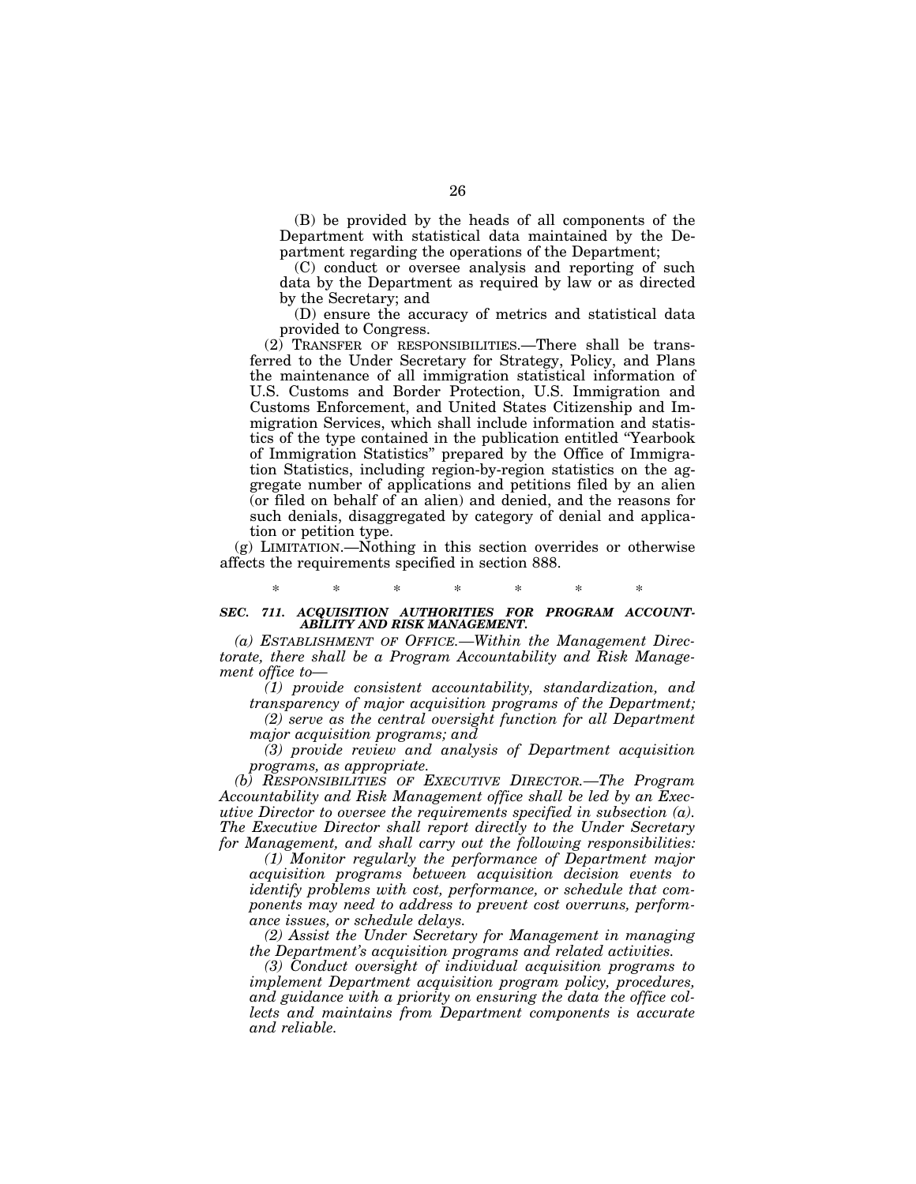(B) be provided by the heads of all components of the Department with statistical data maintained by the Department regarding the operations of the Department;

(C) conduct or oversee analysis and reporting of such data by the Department as required by law or as directed by the Secretary; and

(D) ensure the accuracy of metrics and statistical data provided to Congress.

(2) TRANSFER OF RESPONSIBILITIES.—There shall be transferred to the Under Secretary for Strategy, Policy, and Plans the maintenance of all immigration statistical information of U.S. Customs and Border Protection, U.S. Immigration and Customs Enforcement, and United States Citizenship and Immigration Services, which shall include information and statistics of the type contained in the publication entitled ''Yearbook of Immigration Statistics'' prepared by the Office of Immigration Statistics, including region-by-region statistics on the aggregate number of applications and petitions filed by an alien (or filed on behalf of an alien) and denied, and the reasons for such denials, disaggregated by category of denial and application or petition type.

(g) LIMITATION.—Nothing in this section overrides or otherwise affects the requirements specified in section 888.

## \* \* \* \* \* \* \* *SEC. 711. ACQUISITION AUTHORITIES FOR PROGRAM ACCOUNT-ABILITY AND RISK MANAGEMENT.*

*(a) ESTABLISHMENT OF OFFICE.—Within the Management Directorate, there shall be a Program Accountability and Risk Management office to—* 

*(1) provide consistent accountability, standardization, and transparency of major acquisition programs of the Department;* 

*(2) serve as the central oversight function for all Department major acquisition programs; and* 

*(3) provide review and analysis of Department acquisition programs, as appropriate.* 

*(b) RESPONSIBILITIES OF EXECUTIVE DIRECTOR.—The Program Accountability and Risk Management office shall be led by an Executive Director to oversee the requirements specified in subsection (a). The Executive Director shall report directly to the Under Secretary for Management, and shall carry out the following responsibilities:* 

*(1) Monitor regularly the performance of Department major acquisition programs between acquisition decision events to identify problems with cost, performance, or schedule that components may need to address to prevent cost overruns, performance issues, or schedule delays.* 

*(2) Assist the Under Secretary for Management in managing the Department's acquisition programs and related activities.* 

*(3) Conduct oversight of individual acquisition programs to implement Department acquisition program policy, procedures, and guidance with a priority on ensuring the data the office collects and maintains from Department components is accurate and reliable.*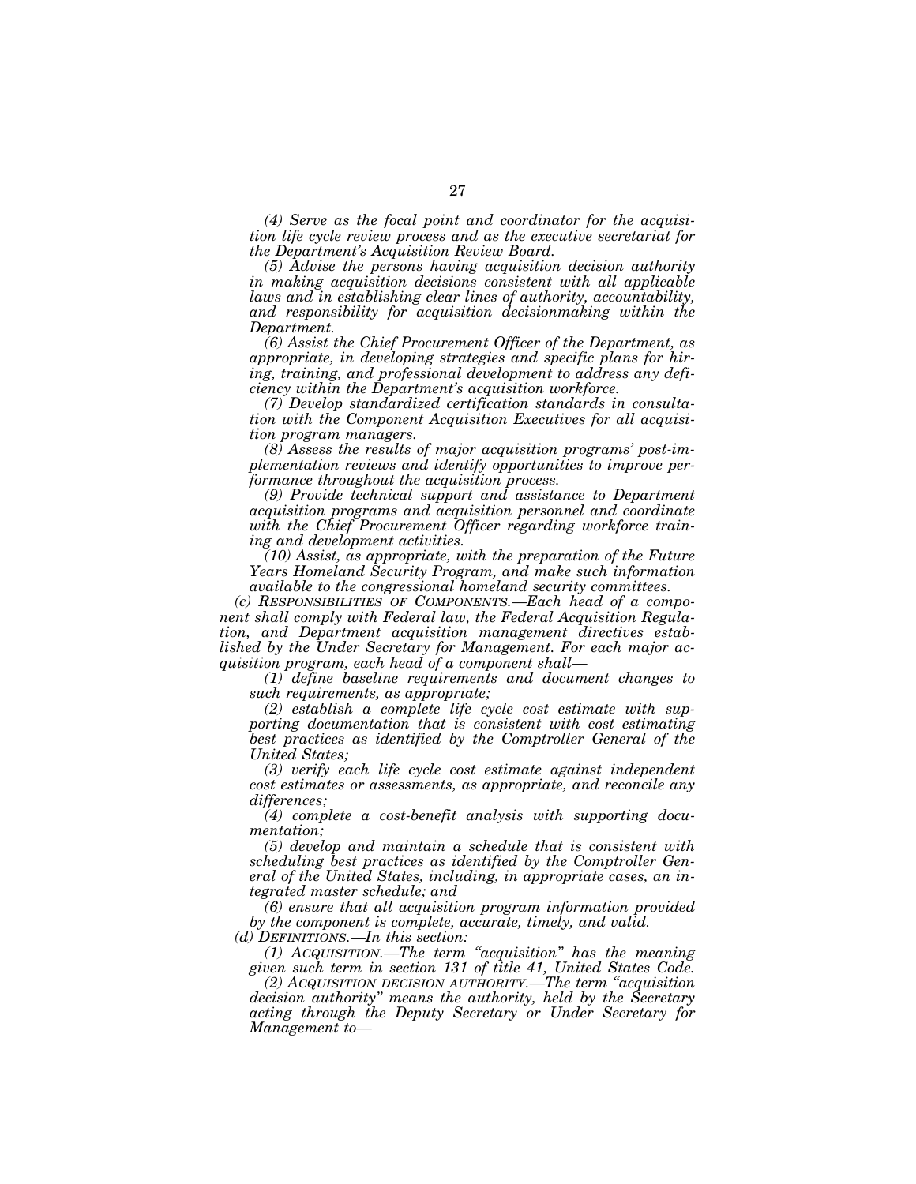*(4) Serve as the focal point and coordinator for the acquisition life cycle review process and as the executive secretariat for the Department's Acquisition Review Board.* 

*(5) Advise the persons having acquisition decision authority in making acquisition decisions consistent with all applicable laws and in establishing clear lines of authority, accountability, and responsibility for acquisition decisionmaking within the Department.* 

*(6) Assist the Chief Procurement Officer of the Department, as appropriate, in developing strategies and specific plans for hiring, training, and professional development to address any deficiency within the Department's acquisition workforce.* 

*(7) Develop standardized certification standards in consultation with the Component Acquisition Executives for all acquisition program managers.* 

*(8) Assess the results of major acquisition programs' post-implementation reviews and identify opportunities to improve performance throughout the acquisition process.* 

*(9) Provide technical support and assistance to Department acquisition programs and acquisition personnel and coordinate with the Chief Procurement Officer regarding workforce training and development activities.* 

*(10) Assist, as appropriate, with the preparation of the Future Years Homeland Security Program, and make such information available to the congressional homeland security committees.* 

*(c) RESPONSIBILITIES OF COMPONENTS.—Each head of a component shall comply with Federal law, the Federal Acquisition Regulation, and Department acquisition management directives established by the Under Secretary for Management. For each major acquisition program, each head of a component shall—* 

*(1) define baseline requirements and document changes to such requirements, as appropriate;* 

*(2) establish a complete life cycle cost estimate with supporting documentation that is consistent with cost estimating*  best practices as identified by the Comptroller General of the *United States;* 

*(3) verify each life cycle cost estimate against independent cost estimates or assessments, as appropriate, and reconcile any differences;* 

*(4) complete a cost-benefit analysis with supporting documentation;* 

*(5) develop and maintain a schedule that is consistent with scheduling best practices as identified by the Comptroller General of the United States, including, in appropriate cases, an integrated master schedule; and* 

*(6) ensure that all acquisition program information provided by the component is complete, accurate, timely, and valid.* 

*(d) DEFINITIONS.—In this section:* 

*(1) ACQUISITION.—The term ''acquisition'' has the meaning given such term in section 131 of title 41, United States Code.* 

*(2) ACQUISITION DECISION AUTHORITY.—The term ''acquisition decision authority'' means the authority, held by the Secretary acting through the Deputy Secretary or Under Secretary for Management to—*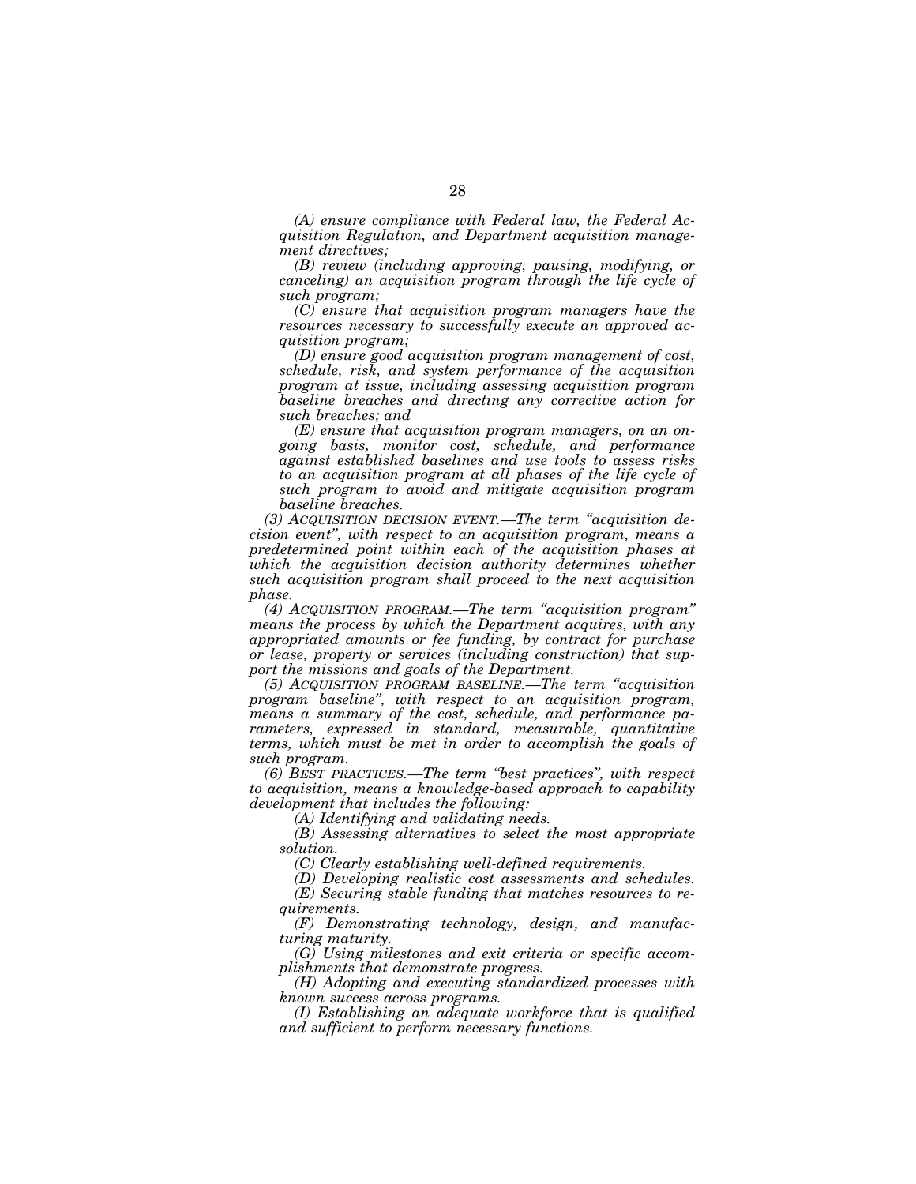*(A) ensure compliance with Federal law, the Federal Acquisition Regulation, and Department acquisition management directives;* 

*(B) review (including approving, pausing, modifying, or canceling) an acquisition program through the life cycle of such program;* 

*(C) ensure that acquisition program managers have the resources necessary to successfully execute an approved acquisition program;* 

*(D) ensure good acquisition program management of cost, schedule, risk, and system performance of the acquisition program at issue, including assessing acquisition program baseline breaches and directing any corrective action for such breaches; and* 

*(E) ensure that acquisition program managers, on an ongoing basis, monitor cost, schedule, and performance against established baselines and use tools to assess risks to an acquisition program at all phases of the life cycle of such program to avoid and mitigate acquisition program baseline breaches.* 

*(3) ACQUISITION DECISION EVENT.—The term ''acquisition decision event'', with respect to an acquisition program, means a predetermined point within each of the acquisition phases at*  which the acquisition decision authority determines whether *such acquisition program shall proceed to the next acquisition phase.* 

*(4) ACQUISITION PROGRAM.—The term ''acquisition program'' means the process by which the Department acquires, with any appropriated amounts or fee funding, by contract for purchase or lease, property or services (including construction) that support the missions and goals of the Department.* 

*(5) ACQUISITION PROGRAM BASELINE.—The term ''acquisition program baseline'', with respect to an acquisition program, means a summary of the cost, schedule, and performance parameters, expressed in standard, measurable, quantitative terms, which must be met in order to accomplish the goals of such program.* 

*(6) BEST PRACTICES.—The term ''best practices'', with respect to acquisition, means a knowledge-based approach to capability development that includes the following:* 

*(A) Identifying and validating needs.* 

*(B) Assessing alternatives to select the most appropriate solution.* 

*(C) Clearly establishing well-defined requirements.* 

*(D) Developing realistic cost assessments and schedules.* 

*(E) Securing stable funding that matches resources to requirements.* 

*(F) Demonstrating technology, design, and manufacturing maturity.* 

*(G) Using milestones and exit criteria or specific accomplishments that demonstrate progress.* 

*(H) Adopting and executing standardized processes with known success across programs.* 

*(I) Establishing an adequate workforce that is qualified and sufficient to perform necessary functions.*